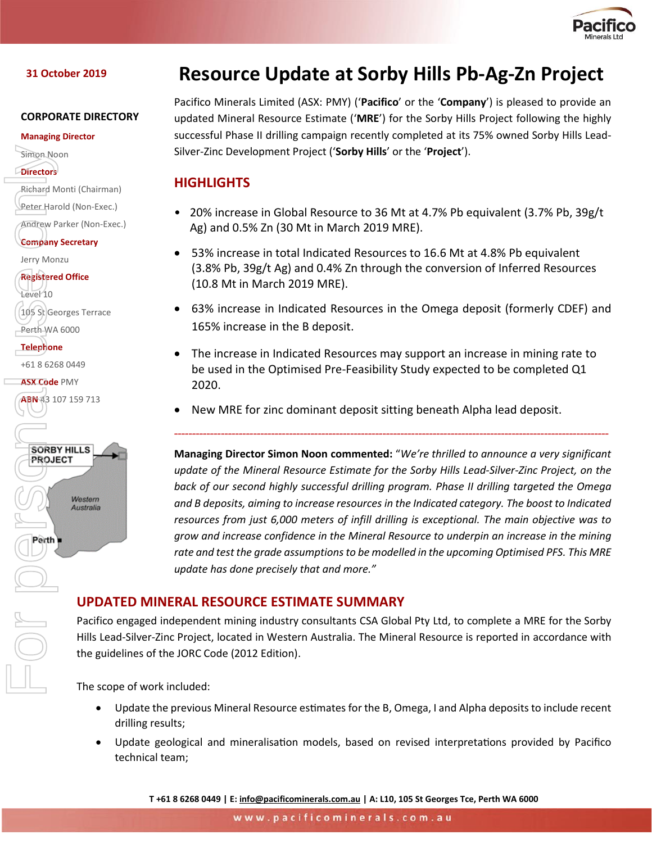

### **31 October 2019**

#### **CORPORATE DIRECTORY**

#### **Managing Director**

Simon Noon

```
Directors
```

```
Richard Monti (Chairman)
```
Peter Harold (Non-Exec.)

Andrew Parker (Non-Exec.)

**Company Secretary**

Jerry Monzu

**Registered Office**

Level 10 105 St Georges Terrace Perth WA 6000

**Telephone**

+61 8 6268 0449

**ASX Code** PMY

ABN 43 107 159 713



# **Resource Update at Sorby Hills Pb-Ag-Zn Project**

Pacifico Minerals Limited (ASX: PMY) ('**Pacifico**' or the '**Company**') is pleased to provide an updated Mineral Resource Estimate ('**MRE**') for the Sorby Hills Project following the highly successful Phase II drilling campaign recently completed at its 75% owned Sorby Hills Lead-Silver-Zinc Development Project ('**Sorby Hills**' or the '**Project**').

# **HIGHLIGHTS**

- 20% increase in Global Resource to 36 Mt at 4.7% Pb equivalent (3.7% Pb, 39g/t Ag) and 0.5% Zn (30 Mt in March 2019 MRE).
- 53% increase in total Indicated Resources to 16.6 Mt at 4.8% Pb equivalent (3.8% Pb, 39g/t Ag) and 0.4% Zn through the conversion of Inferred Resources (10.8 Mt in March 2019 MRE).
- 63% increase in Indicated Resources in the Omega deposit (formerly CDEF) and 165% increase in the B deposit.
- The increase in Indicated Resources may support an increase in mining rate to be used in the Optimised Pre-Feasibility Study expected to be completed Q1 2020.

*-------------------------------------------------------------------------------------------------------------------------*

• New MRE for zinc dominant deposit sitting beneath Alpha lead deposit.

**Managing Director Simon Noon commented:** "*We're thrilled to announce a very significant update of the Mineral Resource Estimate for the Sorby Hills Lead-Silver-Zinc Project, on the back of our second highly successful drilling program. Phase II drilling targeted the Omega and B deposits, aiming to increase resources in the Indicated category. The boost to Indicated resources from just 6,000 meters of infill drilling is exceptional. The main objective was to grow and increase confidence in the Mineral Resource to underpin an increase in the mining rate and test the grade assumptionsto be modelled in the upcoming Optimised PFS. This MRE update has done precisely that and more."*

# **UPDATED MINERAL RESOURCE ESTIMATE SUMMARY**

Pacifico engaged independent mining industry consultants CSA Global Pty Ltd, to complete a MRE for the Sorby Hills Lead-Silver-Zinc Project, located in Western Australia. The Mineral Resource is reported in accordance with the guidelines of the JORC Code (2012 Edition).

The scope of work included:

- Update the previous Mineral Resource estimates for the B, Omega, I and Alpha deposits to include recent drilling results;
- Update geological and mineralisation models, based on revised interpretations provided by Pacifico technical team;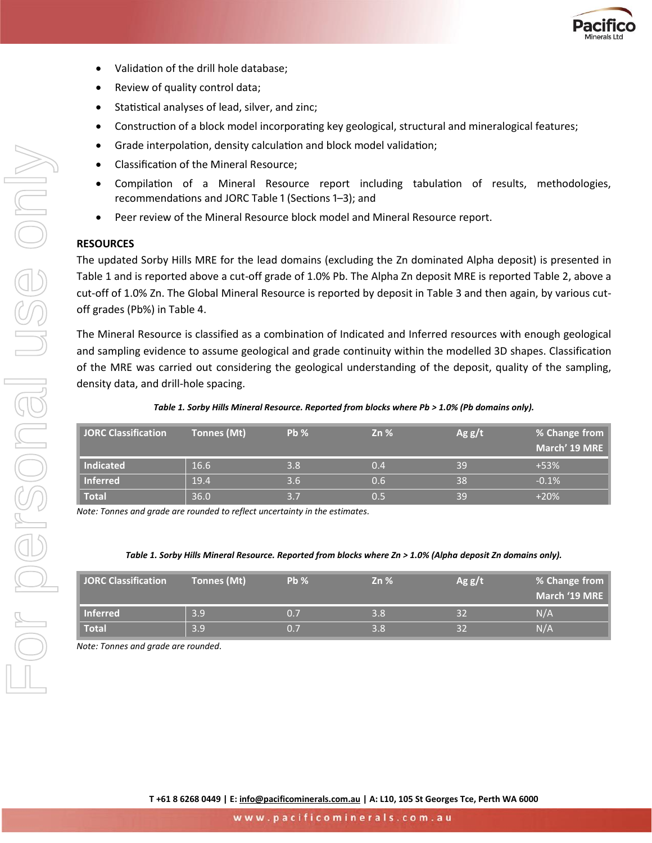

- Validation of the drill hole database;
- Review of quality control data;
- Statistical analyses of lead, silver, and zinc;
- Construction of a block model incorporating key geological, structural and mineralogical features;
- Grade interpolation, density calculation and block model validation;
- Classification of the Mineral Resource;
- Compilation of a Mineral Resource report including tabulation of results, methodologies, recommendations and JORC Table 1 (Sections 1–3); and
- Peer review of the Mineral Resource block model and Mineral Resource report.

#### **RESOURCES**

The updated Sorby Hills MRE for the lead domains (excluding the Zn dominated Alpha deposit) is presented in Table 1 and is reported above a cut-off grade of 1.0% Pb. The Alpha Zn deposit MRE is reported Table 2, above a cut-off of 1.0% Zn. The Global Mineral Resource is reported by deposit in Table 3 and then again, by various cutoff grades (Pb%) in Table 4.

The Mineral Resource is classified as a combination of Indicated and Inferred resources with enough geological and sampling evidence to assume geological and grade continuity within the modelled 3D shapes. Classification of the MRE was carried out considering the geological understanding of the deposit, quality of the sampling, density data, and drill-hole spacing.

| JORC Classification | Tonnes (Mt) | Pb % | $Zn\%$ | Ag g/t | % Change from<br>March' 19 MRE |
|---------------------|-------------|------|--------|--------|--------------------------------|
| Indicated           | 16.6        | 3.8  | 0.4    | 39     | $+53%$                         |
| Inferred            | 19.4        | 3.6  | 0.6    | 38     | $-0.1%$                        |
| Total               | 36.0        | 3.7  | 0.5    | 39     | $+20%$                         |

*Note: Tonnes and grade are rounded to reflect uncertainty in the estimates.*

#### *Table 1. Sorby Hills Mineral Resource. Reported from blocks where Zn > 1.0% (Alpha deposit Zn domains only).*

| <b>JORC Classification</b> | Tonnes (Mt) | Pb % | $Zn\%$ | Agg/t | % Change from<br>March '19 MRE |
|----------------------------|-------------|------|--------|-------|--------------------------------|
| <b>Inferred</b>            | 3.9         | 0.7  | 3.8    |       | N/A                            |
| <b>Total</b>               | 3.9         | 0. . | 3.8    |       | N/A                            |

*Note: Tonnes and grade are rounded.*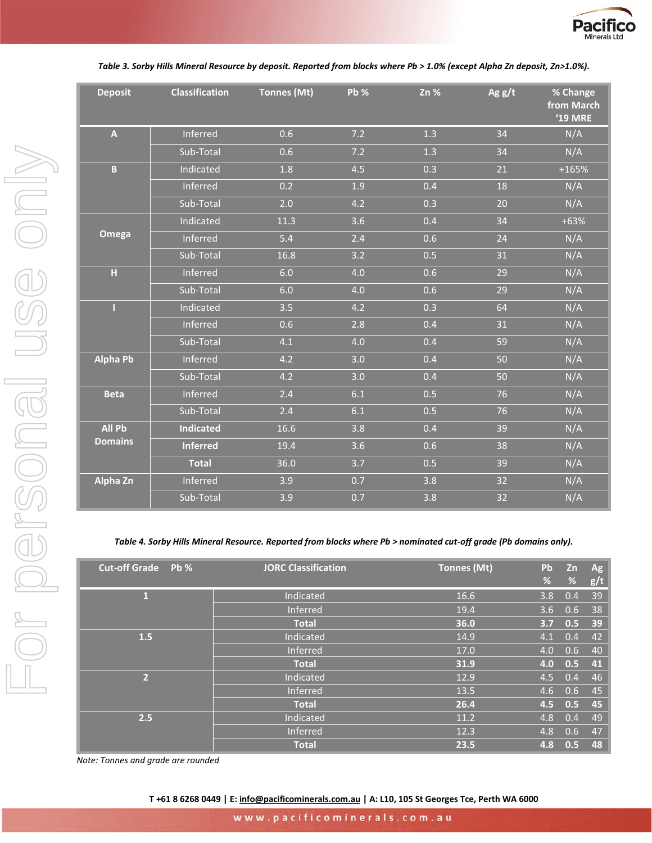

#### *Table 3. Sorby Hills Mineral Resource by deposit. Reported from blocks where Pb > 1.0% (except Alpha Zn deposit, Zn>1.0%).*

| <b>Deposit</b>          | <b>Classification</b> | Tonnes (Mt) | Pb % | Zn % | Ag $g/t$ | % Change<br>from March<br><b>'19 MRE</b> |
|-------------------------|-----------------------|-------------|------|------|----------|------------------------------------------|
| $\overline{\mathsf{A}}$ | Inferred              | 0.6         | 7.2  | 1.3  | 34       | N/A                                      |
|                         | Sub-Total             | 0.6         | 7.2  | 1.3  | 34       | N/A                                      |
| $\mathbf{B}$            | Indicated             | 1.8         | 4.5  | 0.3  | 21       | $+165%$                                  |
|                         | Inferred              | 0.2         | 1.9  | 0.4  | 18       | N/A                                      |
|                         | Sub-Total             | 2.0         | 4.2  | 0.3  | 20       | N/A                                      |
|                         | Indicated             | 11.3        | 3.6  | 0.4  | 34       | $+63%$                                   |
| Omega                   | Inferred              | 5.4         | 2.4  | 0.6  | 24       | N/A                                      |
|                         | Sub-Total             | 16.8        | 3.2  | 0.5  | 31       | N/A                                      |
| H                       | Inferred              | 6.0         | 4.0  | 0.6  | 29       | N/A                                      |
|                         | Sub-Total             | 6.0         | 4.0  | 0.6  | 29       | N/A                                      |
| П                       | Indicated             | 3.5         | 4.2  | 0.3  | 64       | N/A                                      |
|                         | Inferred              | 0.6         | 2.8  | 0.4  | 31       | N/A                                      |
|                         | Sub-Total             | 4.1         | 4.0  | 0.4  | 59       | N/A                                      |
| <b>Alpha Pb</b>         | Inferred              | 4.2         | 3.0  | 0.4  | 50       | N/A                                      |
|                         | Sub-Total             | 4.2         | 3.0  | 0.4  | 50       | N/A                                      |
| <b>Beta</b>             | Inferred              | 2.4         | 6.1  | 0.5  | 76       | N/A                                      |
|                         | Sub-Total             | 2.4         | 6.1  | 0.5  | 76       | N/A                                      |
| <b>All Pb</b>           | <b>Indicated</b>      | 16.6        | 3.8  | 0.4  | 39       | N/A                                      |
| <b>Domains</b>          | <b>Inferred</b>       | 19.4        | 3.6  | 0.6  | 38       | N/A                                      |
|                         | <b>Total</b>          | 36.0        | 3.7  | 0.5  | 39       | N/A                                      |
| Alpha Zn                | Inferred              | 3.9         | 0.7  | 3.8  | 32       | N/A                                      |
|                         | Sub-Total             | 3.9         | 0.7  | 3.8  | 32       | N/A                                      |

#### *Table 4. Sorby Hills Mineral Resource. Reported from blocks where Pb > nominated cut-off grade (Pb domains only).*

| <b>Cut-off Grade</b> Pb % | <b>JORC Classification</b> | <b>Tonnes (Mt)</b> | Pb  | Zn  | Ag  |
|---------------------------|----------------------------|--------------------|-----|-----|-----|
|                           |                            |                    | %   | %   | g/t |
| 1                         | Indicated                  | 16.6               | 3.8 | 0.4 | 39  |
|                           | <b>Inferred</b>            | 19.4               | 3.6 | 0.6 | 38  |
|                           | <b>Total</b>               | 36.0               | 3.7 | 0.5 | 39  |
| 1.5                       | Indicated                  | 14.9               | 4.1 | 0.4 | 42  |
|                           | Inferred                   | 17.0               | 4.0 | 0.6 | 40  |
|                           | <b>Total</b>               | 31.9               | 4.0 | 0.5 | 41  |
| $\overline{2}$            | Indicated                  | 12.9               | 4.5 | 0.4 | 46  |
|                           | Inferred                   | 13.5               | 4.6 | 0.6 | 45  |
|                           | <b>Total</b>               | 26.4               | 4.5 | 0.5 | 45  |
| 2.5                       | Indicated                  | 11.2               | 4.8 | 0.4 | 49  |
|                           | Inferred                   | 12.3               | 4.8 | 0.6 | 47  |
|                           | <b>Total</b>               | 23.5               | 4.8 | 0.5 | 48  |

*Note: Tonnes and grade are rounded*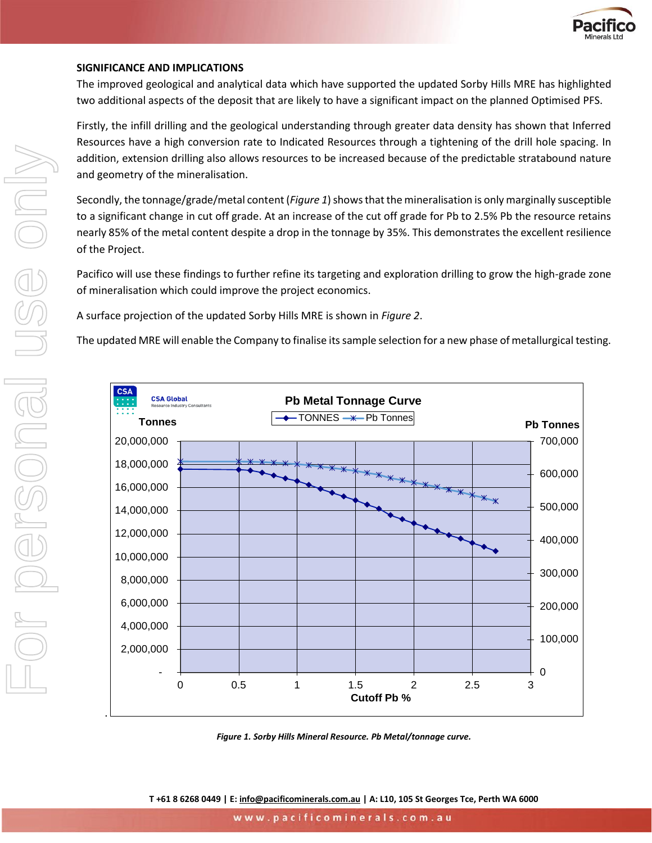

#### **SIGNIFICANCE AND IMPLICATIONS**

The improved geological and analytical data which have supported the updated Sorby Hills MRE has highlighted two additional aspects of the deposit that are likely to have a significant impact on the planned Optimised PFS.

Firstly, the infill drilling and the geological understanding through greater data density has shown that Inferred Resources have a high conversion rate to Indicated Resources through a tightening of the drill hole spacing. In addition, extension drilling also allows resources to be increased because of the predictable stratabound nature and geometry of the mineralisation.

Secondly, the tonnage/grade/metal content(*Figure 1*) shows that the mineralisation is only marginally susceptible to a significant change in cut off grade. At an increase of the cut off grade for Pb to 2.5% Pb the resource retains nearly 85% of the metal content despite a drop in the tonnage by 35%. This demonstrates the excellent resilience of the Project.

Pacifico will use these findings to further refine its targeting and exploration drilling to grow the high-grade zone of mineralisation which could improve the project economics.

A surface projection of the updated Sorby Hills MRE is shown in *Figure 2*.

The updated MRE will enable the Company to finalise its sample selection for a new phase of metallurgical testing.



*Figure 1. Sorby Hills Mineral Resource. Pb Metal/tonnage curve.*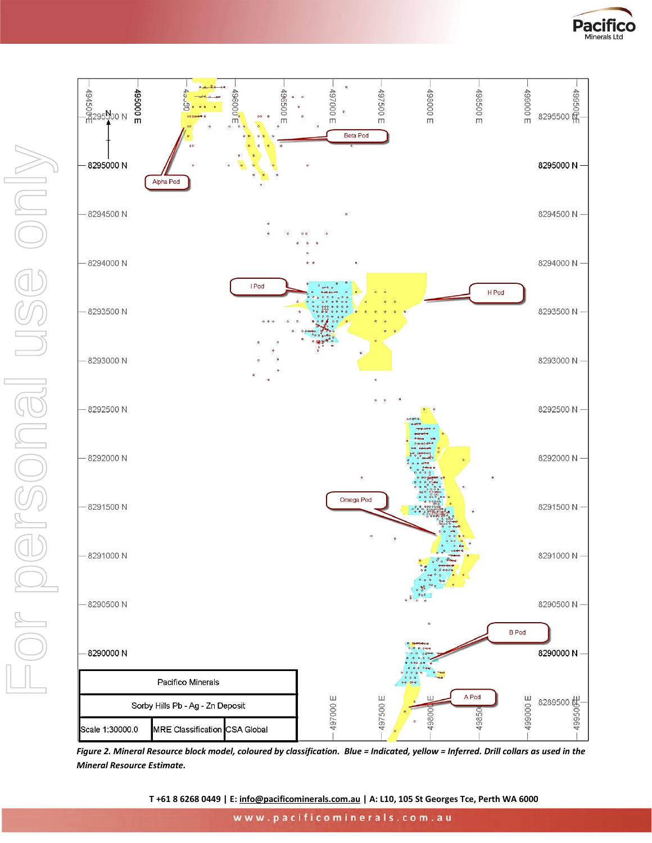



<span id="page-4-0"></span>*Figure 2. Mineral Resource block model, coloured by classification. Blue = Indicated, yellow = Inferred. Drill collars as used in the Mineral Resource Estimate.*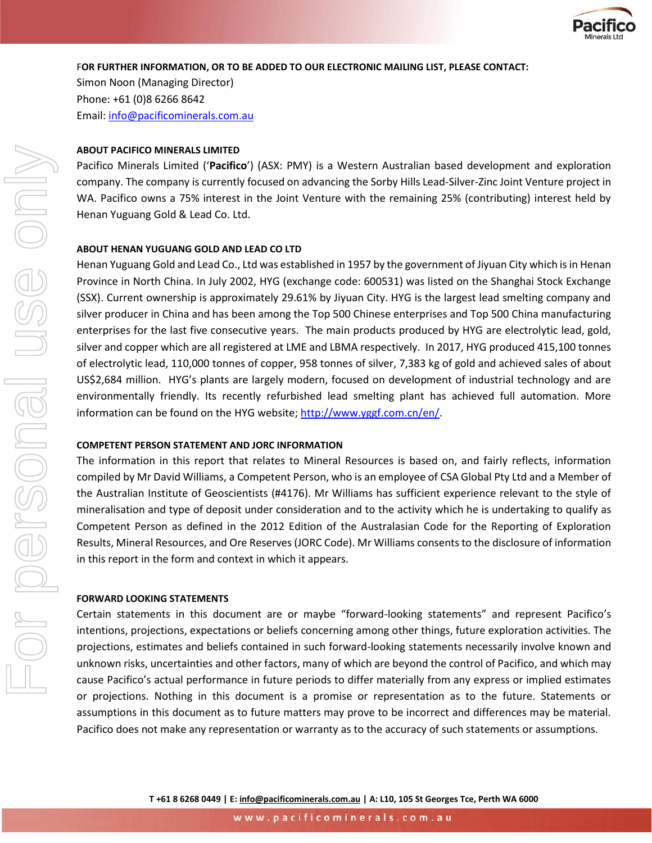

#### F**OR FURTHER INFORMATION, OR TO BE ADDED TO OUR ELECTRONIC MAILING LIST, PLEASE CONTACT:**

Simon Noon (Managing Director) Phone: +61 (0)8 6266 8642 Email: [info@pacificominerals.com.au](mailto:info@pacificominerals.com.au)

#### **ABOUT PACIFICO MINERALS LIMITED**

Pacifico Minerals Limited ('**Pacifico**') (ASX: PMY) is a Western Australian based development and exploration company. The company is currently focused on advancing the Sorby Hills Lead-Silver-Zinc Joint Venture project in WA. Pacifico owns a 75% interest in the Joint Venture with the remaining 25% (contributing) interest held by Henan Yuguang Gold & Lead Co. Ltd.

#### **ABOUT HENAN YUGUANG GOLD AND LEAD CO LTD**

Henan Yuguang Gold and Lead Co., Ltd was established in 1957 by the government of Jiyuan City which is in Henan Province in North China. In July 2002, HYG (exchange code: 600531) was listed on the Shanghai Stock Exchange (SSX). Current ownership is approximately 29.61% by Jiyuan City. HYG is the largest lead smelting company and silver producer in China and has been among the Top 500 Chinese enterprises and Top 500 China manufacturing enterprises for the last five consecutive years. The main products produced by HYG are electrolytic lead, gold, silver and copper which are all registered at LME and LBMA respectively. In 2017, HYG produced 415,100 tonnes of electrolytic lead, 110,000 tonnes of copper, 958 tonnes of silver, 7,383 kg of gold and achieved sales of about US\$2,684 million. HYG's plants are largely modern, focused on development of industrial technology and are environmentally friendly. Its recently refurbished lead smelting plant has achieved full automation. More information can be found on the HYG website; http://www.yggf.com.cn/en/.

#### **COMPETENT PERSON STATEMENT AND JORC INFORMATION**

The information in this report that relates to Mineral Resources is based on, and fairly reflects, information compiled by Mr David Williams, a Competent Person, who is an employee of CSA Global Pty Ltd and a Member of the Australian Institute of Geoscientists (#4176). Mr Williams has sufficient experience relevant to the style of mineralisation and type of deposit under consideration and to the activity which he is undertaking to qualify as Competent Person as defined in the 2012 Edition of the Australasian Code for the Reporting of Exploration Results, Mineral Resources, and Ore Reserves (JORC Code). Mr Williams consents to the disclosure of information in this report in the form and context in which it appears.

#### **FORWARD LOOKING STATEMENTS**

Certain statements in this document are or maybe "forward-looking statements" and represent Pacifico's intentions, projections, expectations or beliefs concerning among other things, future exploration activities. The projections, estimates and beliefs contained in such forward-looking statements necessarily involve known and unknown risks, uncertainties and other factors, many of which are beyond the control of Pacifico, and which may cause Pacifico's actual performance in future periods to differ materially from any express or implied estimates or projections. Nothing in this document is a promise or representation as to the future. Statements or assumptions in this document as to future matters may prove to be incorrect and differences may be material. Pacifico does not make any representation or warranty as to the accuracy of such statements or assumptions.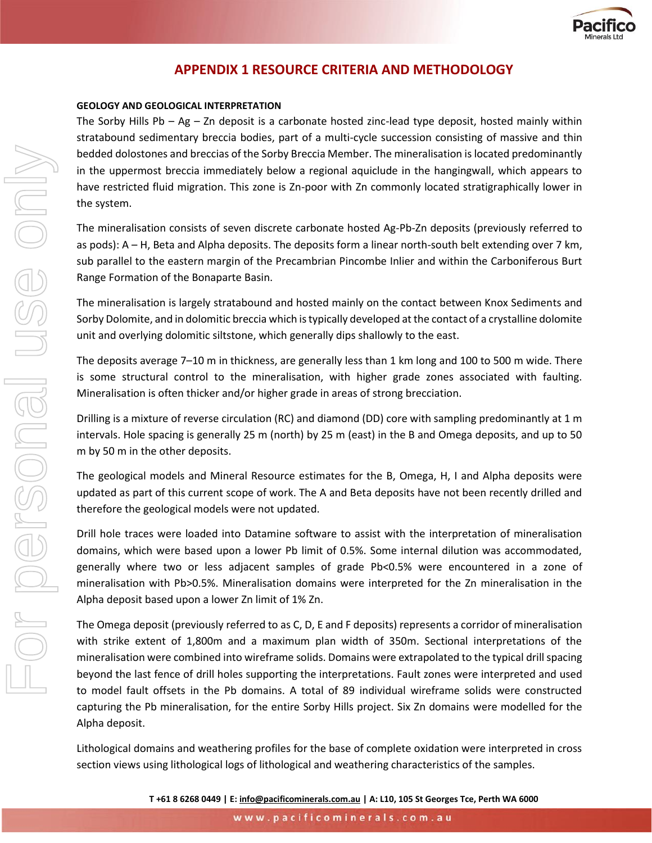

### **APPENDIX 1 RESOURCE CRITERIA AND METHODOLOGY**

#### **GEOLOGY AND GEOLOGICAL INTERPRETATION**

The Sorby Hills Pb – Ag – Zn deposit is a carbonate hosted zinc-lead type deposit, hosted mainly within stratabound sedimentary breccia bodies, part of a multi-cycle succession consisting of massive and thin bedded dolostones and breccias of the Sorby Breccia Member. The mineralisation is located predominantly in the uppermost breccia immediately below a regional aquiclude in the hangingwall, which appears to have restricted fluid migration. This zone is Zn-poor with Zn commonly located stratigraphically lower in the system.

The mineralisation consists of seven discrete carbonate hosted Ag-Pb-Zn deposits (previously referred to as pods): A – H, Beta and Alpha deposits. The deposits form a linear north-south belt extending over 7 km, sub parallel to the eastern margin of the Precambrian Pincombe Inlier and within the Carboniferous Burt Range Formation of the Bonaparte Basin.

The mineralisation is largely stratabound and hosted mainly on the contact between Knox Sediments and Sorby Dolomite, and in dolomitic breccia which is typically developed at the contact of a crystalline dolomite unit and overlying dolomitic siltstone, which generally dips shallowly to the east.

The deposits average 7–10 m in thickness, are generally less than 1 km long and 100 to 500 m wide. There is some structural control to the mineralisation, with higher grade zones associated with faulting. Mineralisation is often thicker and/or higher grade in areas of strong brecciation.

Drilling is a mixture of reverse circulation (RC) and diamond (DD) core with sampling predominantly at 1 m intervals. Hole spacing is generally 25 m (north) by 25 m (east) in the B and Omega deposits, and up to 50 m by 50 m in the other deposits.

The geological models and Mineral Resource estimates for the B, Omega, H, I and Alpha deposits were updated as part of this current scope of work. The A and Beta deposits have not been recently drilled and therefore the geological models were not updated.

Drill hole traces were loaded into Datamine software to assist with the interpretation of mineralisation domains, which were based upon a lower Pb limit of 0.5%. Some internal dilution was accommodated, generally where two or less adjacent samples of grade Pb<0.5% were encountered in a zone of mineralisation with Pb>0.5%. Mineralisation domains were interpreted for the Zn mineralisation in the Alpha deposit based upon a lower Zn limit of 1% Zn.

The Omega deposit (previously referred to as C, D, E and F deposits) represents a corridor of mineralisation with strike extent of 1,800m and a maximum plan width of 350m. Sectional interpretations of the mineralisation were combined into wireframe solids. Domains were extrapolated to the typical drill spacing beyond the last fence of drill holes supporting the interpretations. Fault zones were interpreted and used to model fault offsets in the Pb domains. A total of 89 individual wireframe solids were constructed capturing the Pb mineralisation, for the entire Sorby Hills project. Six Zn domains were modelled for the Alpha deposit.

Lithological domains and weathering profiles for the base of complete oxidation were interpreted in cross section views using lithological logs of lithological and weathering characteristics of the samples.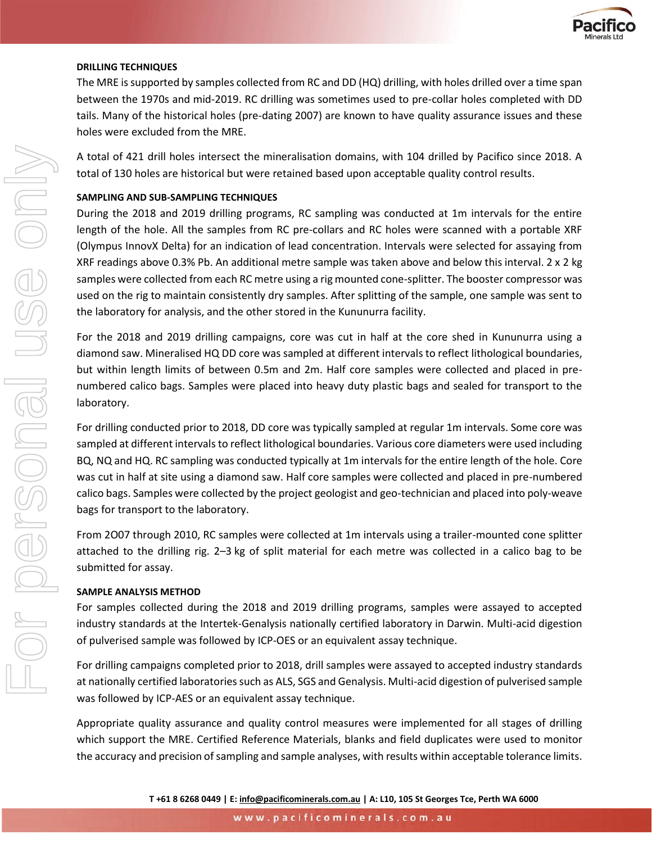

#### **DRILLING TECHNIQUES**

The MRE is supported by samples collected from RC and DD (HQ) drilling, with holes drilled over a time span between the 1970s and mid-2019. RC drilling was sometimes used to pre-collar holes completed with DD tails. Many of the historical holes (pre-dating 2007) are known to have quality assurance issues and these holes were excluded from the MRE.

A total of 421 drill holes intersect the mineralisation domains, with 104 drilled by Pacifico since 2018. A total of 130 holes are historical but were retained based upon acceptable quality control results.

#### **SAMPLING AND SUB-SAMPLING TECHNIQUES**

During the 2018 and 2019 drilling programs, RC sampling was conducted at 1m intervals for the entire length of the hole. All the samples from RC pre-collars and RC holes were scanned with a portable XRF (Olympus InnovX Delta) for an indication of lead concentration. Intervals were selected for assaying from XRF readings above 0.3% Pb. An additional metre sample was taken above and below this interval. 2 x 2 kg samples were collected from each RC metre using a rig mounted cone-splitter. The booster compressor was used on the rig to maintain consistently dry samples. After splitting of the sample, one sample was sent to the laboratory for analysis, and the other stored in the Kununurra facility.

For the 2018 and 2019 drilling campaigns, core was cut in half at the core shed in Kununurra using a diamond saw. Mineralised HQ DD core was sampled at different intervals to reflect lithological boundaries, but within length limits of between 0.5m and 2m. Half core samples were collected and placed in prenumbered calico bags. Samples were placed into heavy duty plastic bags and sealed for transport to the laboratory.

For drilling conducted prior to 2018, DD core was typically sampled at regular 1m intervals. Some core was sampled at different intervals to reflect lithological boundaries. Various core diameters were used including BQ, NQ and HQ. RC sampling was conducted typically at 1m intervals for the entire length of the hole. Core was cut in half at site using a diamond saw. Half core samples were collected and placed in pre-numbered calico bags. Samples were collected by the project geologist and geo-technician and placed into poly-weave bags for transport to the laboratory.

From 2O07 through 2010, RC samples were collected at 1m intervals using a trailer-mounted cone splitter attached to the drilling rig. 2–3 kg of split material for each metre was collected in a calico bag to be submitted for assay.

#### **SAMPLE ANALYSIS METHOD**

For samples collected during the 2018 and 2019 drilling programs, samples were assayed to accepted industry standards at the Intertek-Genalysis nationally certified laboratory in Darwin. Multi-acid digestion of pulverised sample was followed by ICP-OES or an equivalent assay technique.

For drilling campaigns completed prior to 2018, drill samples were assayed to accepted industry standards at nationally certified laboratories such as ALS, SGS and Genalysis. Multi-acid digestion of pulverised sample was followed by ICP-AES or an equivalent assay technique.

Appropriate quality assurance and quality control measures were implemented for all stages of drilling which support the MRE. Certified Reference Materials, blanks and field duplicates were used to monitor the accuracy and precision of sampling and sample analyses, with results within acceptable tolerance limits.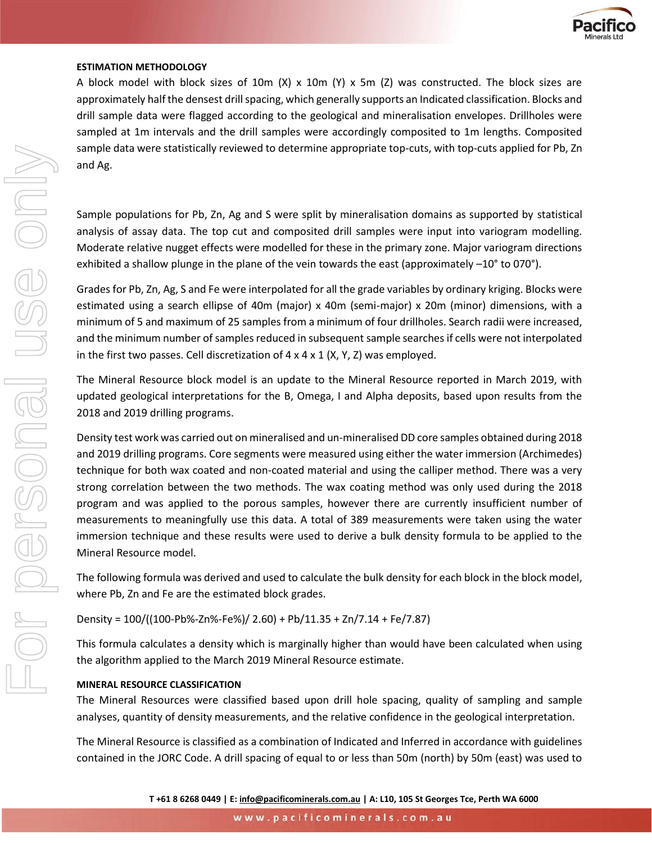

#### **ESTIMATION METHODOLOGY**

A block model with block sizes of 10m (X) x 10m (Y) x 5m (Z) was constructed. The block sizes are approximately half the densest drill spacing, which generally supports an Indicated classification. Blocks and drill sample data were flagged according to the geological and mineralisation envelopes. Drillholes were sampled at 1m intervals and the drill samples were accordingly composited to 1m lengths. Composited sample data were statistically reviewed to determine appropriate top-cuts, with top-cuts applied for Pb, Zn and Ag.

Sample populations for Pb, Zn, Ag and S were split by mineralisation domains as supported by statistical analysis of assay data. The top cut and composited drill samples were input into variogram modelling. Moderate relative nugget effects were modelled for these in the primary zone. Major variogram directions exhibited a shallow plunge in the plane of the vein towards the east (approximately –10° to 070°).

Grades for Pb, Zn, Ag, S and Fe were interpolated for all the grade variables by ordinary kriging. Blocks were estimated using a search ellipse of 40m (major) x 40m (semi-major) x 20m (minor) dimensions, with a minimum of 5 and maximum of 25 samples from a minimum of four drillholes. Search radii were increased, and the minimum number of samples reduced in subsequent sample searches if cells were not interpolated in the first two passes. Cell discretization of  $4 \times 4 \times 1$  (X, Y, Z) was employed.

The Mineral Resource block model is an update to the Mineral Resource reported in March 2019, with updated geological interpretations for the B, Omega, I and Alpha deposits, based upon results from the 2018 and 2019 drilling programs.

Density test work was carried out on mineralised and un-mineralised DD core samples obtained during 2018 and 2019 drilling programs. Core segments were measured using either the water immersion (Archimedes) technique for both wax coated and non-coated material and using the calliper method. There was a very strong correlation between the two methods. The wax coating method was only used during the 2018 program and was applied to the porous samples, however there are currently insufficient number of measurements to meaningfully use this data. A total of 389 measurements were taken using the water immersion technique and these results were used to derive a bulk density formula to be applied to the Mineral Resource model.

The following formula was derived and used to calculate the bulk density for each block in the block model, where Pb, Zn and Fe are the estimated block grades.

Density = 100/((100-Pb%-Zn%-Fe%)/ 2.60) + Pb/11.35 + Zn/7.14 + Fe/7.87)

This formula calculates a density which is marginally higher than would have been calculated when using the algorithm applied to the March 2019 Mineral Resource estimate.

#### **MINERAL RESOURCE CLASSIFICATION**

The Mineral Resources were classified based upon drill hole spacing, quality of sampling and sample analyses, quantity of density measurements, and the relative confidence in the geological interpretation.

The Mineral Resource is classified as a combination of Indicated and Inferred in accordance with guidelines contained in the JORC Code. A drill spacing of equal to or less than 50m (north) by 50m (east) was used to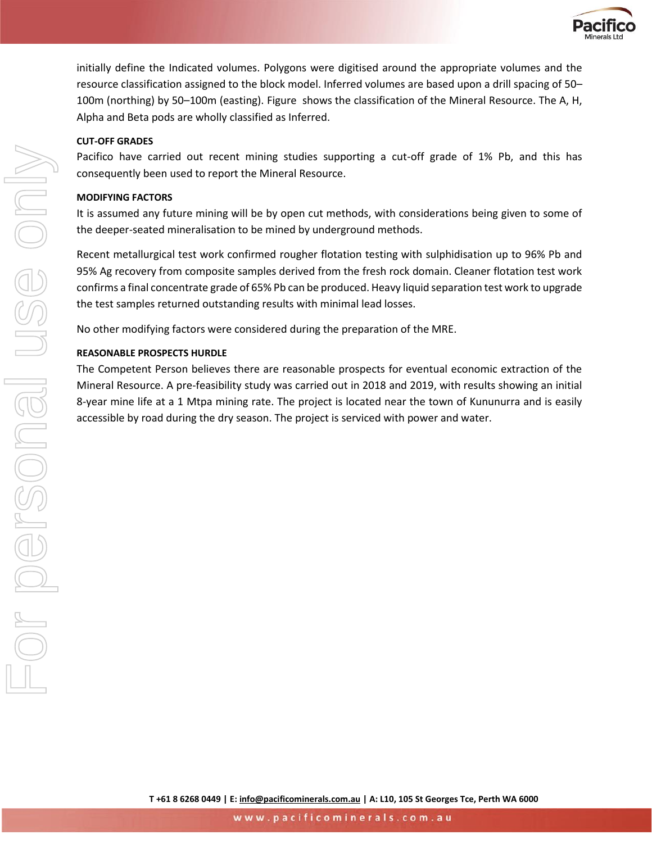

initially define the Indicated volumes. Polygons were digitised around the appropriate volumes and the resource classification assigned to the block model. Inferred volumes are based upon a drill spacing of 50– 100m (northing) by 50–100m (easting)[. Figure](#page-4-0) shows the classification of the Mineral Resource. The A, H, Alpha and Beta pods are wholly classified as Inferred.

#### **CUT-OFF GRADES**

Pacifico have carried out recent mining studies supporting a cut-off grade of 1% Pb, and this has consequently been used to report the Mineral Resource.

#### **MODIFYING FACTORS**

It is assumed any future mining will be by open cut methods, with considerations being given to some of the deeper-seated mineralisation to be mined by underground methods.

Recent metallurgical test work confirmed rougher flotation testing with sulphidisation up to 96% Pb and 95% Ag recovery from composite samples derived from the fresh rock domain. Cleaner flotation test work confirms a final concentrate grade of 65% Pb can be produced. Heavy liquid separation test work to upgrade the test samples returned outstanding results with minimal lead losses.

No other modifying factors were considered during the preparation of the MRE.

#### **REASONABLE PROSPECTS HURDLE**

The Competent Person believes there are reasonable prospects for eventual economic extraction of the Mineral Resource. A pre-feasibility study was carried out in 2018 and 2019, with results showing an initial 8-year mine life at a 1 Mtpa mining rate. The project is located near the town of Kununurra and is easily accessible by road during the dry season. The project is serviced with power and water.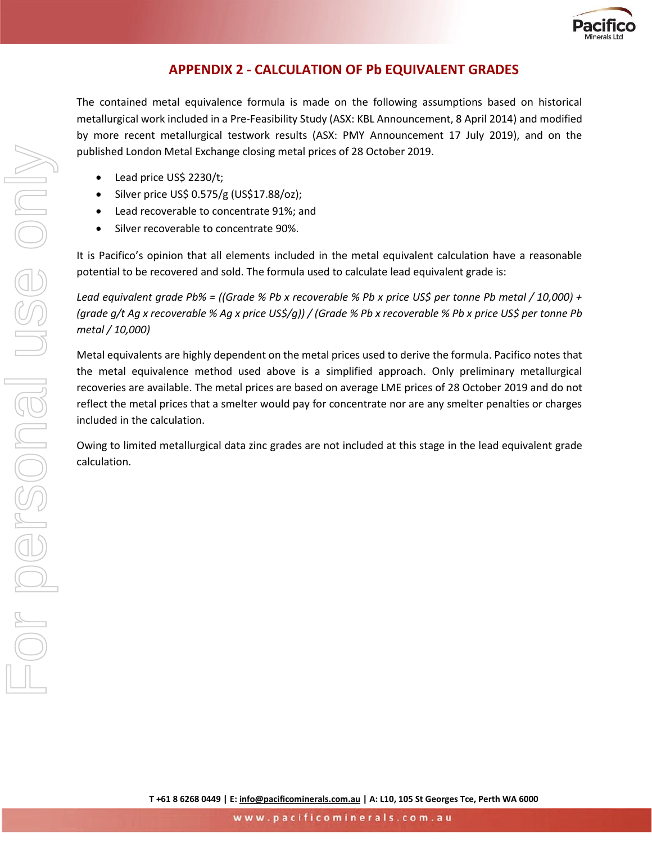

## **APPENDIX 2 - CALCULATION OF Pb EQUIVALENT GRADES**

The contained metal equivalence formula is made on the following assumptions based on historical metallurgical work included in a Pre-Feasibility Study (ASX: KBL Announcement, 8 April 2014) and modified by more recent metallurgical testwork results (ASX: PMY Announcement 17 July 2019), and on the published London Metal Exchange closing metal prices of 28 October 2019.

- Lead price US\$ 2230/t;
- Silver price US\$ 0.575/g (US\$17.88/oz);
- Lead recoverable to concentrate 91%; and
- Silver recoverable to concentrate 90%.

It is Pacifico's opinion that all elements included in the metal equivalent calculation have a reasonable potential to be recovered and sold. The formula used to calculate lead equivalent grade is:

*Lead equivalent grade Pb% = ((Grade % Pb x recoverable % Pb x price US\$ per tonne Pb metal / 10,000) + (grade g/t Ag x recoverable % Ag x price US\$/g)) / (Grade % Pb x recoverable % Pb x price US\$ per tonne Pb metal / 10,000)*

Metal equivalents are highly dependent on the metal prices used to derive the formula. Pacifico notes that the metal equivalence method used above is a simplified approach. Only preliminary metallurgical recoveries are available. The metal prices are based on average LME prices of 28 October 2019 and do not reflect the metal prices that a smelter would pay for concentrate nor are any smelter penalties or charges included in the calculation.

Owing to limited metallurgical data zinc grades are not included at this stage in the lead equivalent grade calculation.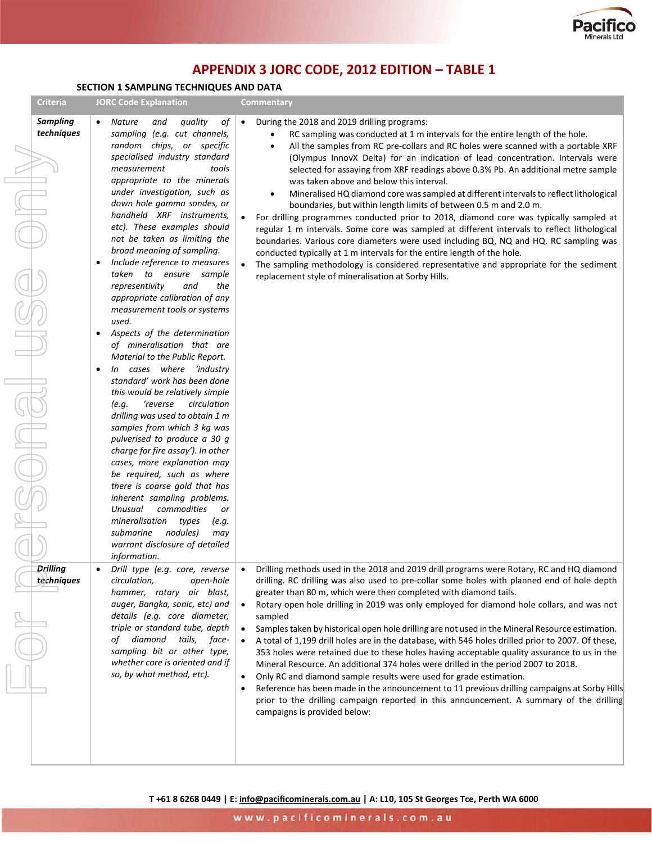

# **APPENDIX 3 JORC CODE, 2012 EDITION – TABLE 1**

### **SECTION 1 SAMPLING TECHNIQUES AND DATA**

 $\overline{\phantom{a}}$ 

 $\overline{\phantom{a}}$ 

| <b>Sampling</b><br>quality<br>оf<br>During the 2018 and 2019 drilling programs:<br><b>Nature</b><br>and<br>$\bullet$<br>$\bullet$<br>techniques<br>sampling (e.g. cut channels,<br>RC sampling was conducted at 1 m intervals for the entire length of the hole.<br>random chips, or specific<br>All the samples from RC pre-collars and RC holes were scanned with a portable XRF<br>specialised industry standard<br>(Olympus InnovX Delta) for an indication of lead concentration. Intervals were<br>measurement<br>tools<br>selected for assaying from XRF readings above 0.3% Pb. An additional metre sample<br>appropriate to the minerals<br>was taken above and below this interval.<br>under investigation, such as<br>Mineralised HQ diamond core was sampled at different intervals to reflect lithological<br>down hole gamma sondes, or<br>boundaries, but within length limits of between 0.5 m and 2.0 m.<br>handheld XRF instruments.<br>For drilling programmes conducted prior to 2018, diamond core was typically sampled at<br>etc). These examples should<br>regular 1 m intervals. Some core was sampled at different intervals to reflect lithological<br>not be taken as limiting the<br>boundaries. Various core diameters were used including BQ, NQ and HQ. RC sampling was<br>broad meaning of sampling.<br>conducted typically at 1 m intervals for the entire length of the hole.<br>Include reference to measures<br>٠<br>The sampling methodology is considered representative and appropriate for the sediment<br>$\bullet$<br>taken to ensure sample<br>replacement style of mineralisation at Sorby Hills.<br>representivity<br>and<br>the<br>appropriate calibration of any<br>measurement tools or systems<br>used.<br>Aspects of the determination<br>of mineralisation that are<br>Material to the Public Report.<br>In cases where 'industry<br>$\bullet$<br>standard' work has been done<br>this would be relatively simple<br>'reverse<br>circulation<br>(e.q.<br>drilling was used to obtain 1 m<br>samples from which 3 kg was<br>pulverised to produce a 30 g<br>charge for fire assay'). In other<br>cases, more explanation may<br>be required, such as where<br>there is coarse gold that has<br>inherent sampling problems.<br>commodities<br>Unusual<br>or<br>mineralisation<br>types<br>(e.g.<br>nodules)<br>submarine<br>may<br>warrant disclosure of detailed<br>information.<br>Drill type (e.g. core, reverse<br>Drilling methods used in the 2018 and 2019 drill programs were Rotary, RC and HQ diamond<br>Drilling<br>techniques<br>drilling. RC drilling was also used to pre-collar some holes with planned end of hole depth<br>circulation,<br>open-hole<br>hammer, rotary air blast,<br>greater than 80 m, which were then completed with diamond tails.<br>auger, Bangka, sonic, etc) and<br>Rotary open hole drilling in 2019 was only employed for diamond hole collars, and was not<br>details (e.g. core diameter,<br>sampled<br>triple or standard tube, depth<br>Samples taken by historical open hole drilling are not used in the Mineral Resource estimation.<br>$\bullet$<br>of diamond tails,<br>face-<br>A total of 1,199 drill holes are in the database, with 546 holes drilled prior to 2007. Of these,<br>$\bullet$<br>sampling bit or other type,<br>353 holes were retained due to these holes having acceptable quality assurance to us in the<br>whether core is oriented and if<br>Mineral Resource. An additional 374 holes were drilled in the period 2007 to 2018.<br>so, by what method, etc).<br>Only RC and diamond sample results were used for grade estimation.<br>$\bullet$<br>Reference has been made in the announcement to 11 previous drilling campaigns at Sorby Hills<br>٠<br>prior to the drilling campaign reported in this announcement. A summary of the drilling<br>campaigns is provided below: | <b>Criteria</b> | <b>JORC Code Explanation</b> | <b>Commentary</b> |
|-------------------------------------------------------------------------------------------------------------------------------------------------------------------------------------------------------------------------------------------------------------------------------------------------------------------------------------------------------------------------------------------------------------------------------------------------------------------------------------------------------------------------------------------------------------------------------------------------------------------------------------------------------------------------------------------------------------------------------------------------------------------------------------------------------------------------------------------------------------------------------------------------------------------------------------------------------------------------------------------------------------------------------------------------------------------------------------------------------------------------------------------------------------------------------------------------------------------------------------------------------------------------------------------------------------------------------------------------------------------------------------------------------------------------------------------------------------------------------------------------------------------------------------------------------------------------------------------------------------------------------------------------------------------------------------------------------------------------------------------------------------------------------------------------------------------------------------------------------------------------------------------------------------------------------------------------------------------------------------------------------------------------------------------------------------------------------------------------------------------------------------------------------------------------------------------------------------------------------------------------------------------------------------------------------------------------------------------------------------------------------------------------------------------------------------------------------------------------------------------------------------------------------------------------------------------------------------------------------------------------------------------------------------------------------------------------------------------------------------------------------------------------------------------------------------------------------------------------------------------------------------------------------------------------------------------------------------------------------------------------------------------------------------------------------------------------------------------------------------------------------------------------------------------------------------------------------------------------------------------------------------------------------------------------------------------------------------------------------------------------------------------------------------------------------------------------------------------------------------------------------------------------------------------------------------------------------------------------------------------------------------------------------------------------------------------------------------------------------------------------------------------------------------------------------------------------------------------------------------------------------------------------------------|-----------------|------------------------------|-------------------|
|                                                                                                                                                                                                                                                                                                                                                                                                                                                                                                                                                                                                                                                                                                                                                                                                                                                                                                                                                                                                                                                                                                                                                                                                                                                                                                                                                                                                                                                                                                                                                                                                                                                                                                                                                                                                                                                                                                                                                                                                                                                                                                                                                                                                                                                                                                                                                                                                                                                                                                                                                                                                                                                                                                                                                                                                                                                                                                                                                                                                                                                                                                                                                                                                                                                                                                                                                                                                                                                                                                                                                                                                                                                                                                                                                                                                                                                                                                             |                 |                              |                   |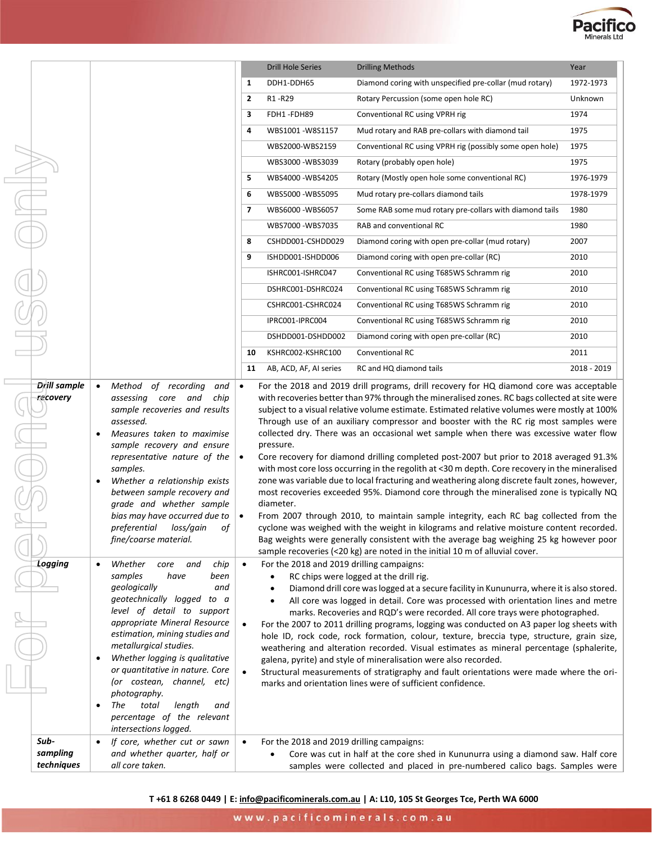

|                                |                                                                                                                                                                                                                                                                                                                                                                                                                                                                                    |                | <b>Drill Hole Series</b>                                                         | <b>Drilling Methods</b>                                                                                                                                                                                                                                                                                                                                                                                                                                                                                                                                                                                                                                                                                                                                                                                                                                                                                                                                                                                                                                                                                                              | Year        |
|--------------------------------|------------------------------------------------------------------------------------------------------------------------------------------------------------------------------------------------------------------------------------------------------------------------------------------------------------------------------------------------------------------------------------------------------------------------------------------------------------------------------------|----------------|----------------------------------------------------------------------------------|--------------------------------------------------------------------------------------------------------------------------------------------------------------------------------------------------------------------------------------------------------------------------------------------------------------------------------------------------------------------------------------------------------------------------------------------------------------------------------------------------------------------------------------------------------------------------------------------------------------------------------------------------------------------------------------------------------------------------------------------------------------------------------------------------------------------------------------------------------------------------------------------------------------------------------------------------------------------------------------------------------------------------------------------------------------------------------------------------------------------------------------|-------------|
|                                |                                                                                                                                                                                                                                                                                                                                                                                                                                                                                    | 1              | DDH1-DDH65                                                                       | Diamond coring with unspecified pre-collar (mud rotary)                                                                                                                                                                                                                                                                                                                                                                                                                                                                                                                                                                                                                                                                                                                                                                                                                                                                                                                                                                                                                                                                              | 1972-1973   |
|                                |                                                                                                                                                                                                                                                                                                                                                                                                                                                                                    | $\overline{2}$ | R1-R29                                                                           | Rotary Percussion (some open hole RC)                                                                                                                                                                                                                                                                                                                                                                                                                                                                                                                                                                                                                                                                                                                                                                                                                                                                                                                                                                                                                                                                                                | Unknown     |
|                                |                                                                                                                                                                                                                                                                                                                                                                                                                                                                                    | 3              | FDH1-FDH89                                                                       | Conventional RC using VPRH rig                                                                                                                                                                                                                                                                                                                                                                                                                                                                                                                                                                                                                                                                                                                                                                                                                                                                                                                                                                                                                                                                                                       | 1974        |
|                                |                                                                                                                                                                                                                                                                                                                                                                                                                                                                                    | 4              | WBS1001-W8S1157                                                                  | Mud rotary and RAB pre-collars with diamond tail                                                                                                                                                                                                                                                                                                                                                                                                                                                                                                                                                                                                                                                                                                                                                                                                                                                                                                                                                                                                                                                                                     | 1975        |
|                                |                                                                                                                                                                                                                                                                                                                                                                                                                                                                                    |                | WBS2000-WBS2159                                                                  | Conventional RC using VPRH rig (possibly some open hole)                                                                                                                                                                                                                                                                                                                                                                                                                                                                                                                                                                                                                                                                                                                                                                                                                                                                                                                                                                                                                                                                             | 1975        |
|                                |                                                                                                                                                                                                                                                                                                                                                                                                                                                                                    |                | WBS3000-WBS3039                                                                  | Rotary (probably open hole)                                                                                                                                                                                                                                                                                                                                                                                                                                                                                                                                                                                                                                                                                                                                                                                                                                                                                                                                                                                                                                                                                                          | 1975        |
|                                |                                                                                                                                                                                                                                                                                                                                                                                                                                                                                    | 5              | WBS4000 - WBS4205                                                                | Rotary (Mostly open hole some conventional RC)                                                                                                                                                                                                                                                                                                                                                                                                                                                                                                                                                                                                                                                                                                                                                                                                                                                                                                                                                                                                                                                                                       | 1976-1979   |
|                                |                                                                                                                                                                                                                                                                                                                                                                                                                                                                                    | 6              | WBS5000-WBS5095                                                                  | Mud rotary pre-collars diamond tails                                                                                                                                                                                                                                                                                                                                                                                                                                                                                                                                                                                                                                                                                                                                                                                                                                                                                                                                                                                                                                                                                                 | 1978-1979   |
|                                |                                                                                                                                                                                                                                                                                                                                                                                                                                                                                    | 7              | WBS6000-WBS6057                                                                  | Some RAB some mud rotary pre-collars with diamond tails                                                                                                                                                                                                                                                                                                                                                                                                                                                                                                                                                                                                                                                                                                                                                                                                                                                                                                                                                                                                                                                                              | 1980        |
|                                |                                                                                                                                                                                                                                                                                                                                                                                                                                                                                    |                | WBS7000-WBS7035                                                                  | RAB and conventional RC                                                                                                                                                                                                                                                                                                                                                                                                                                                                                                                                                                                                                                                                                                                                                                                                                                                                                                                                                                                                                                                                                                              | 1980        |
|                                |                                                                                                                                                                                                                                                                                                                                                                                                                                                                                    | 8              | CSHDD001-CSHDD029                                                                | Diamond coring with open pre-collar (mud rotary)                                                                                                                                                                                                                                                                                                                                                                                                                                                                                                                                                                                                                                                                                                                                                                                                                                                                                                                                                                                                                                                                                     | 2007        |
|                                |                                                                                                                                                                                                                                                                                                                                                                                                                                                                                    | 9              | ISHDD001-ISHDD006                                                                | Diamond coring with open pre-collar (RC)                                                                                                                                                                                                                                                                                                                                                                                                                                                                                                                                                                                                                                                                                                                                                                                                                                                                                                                                                                                                                                                                                             | 2010        |
|                                |                                                                                                                                                                                                                                                                                                                                                                                                                                                                                    |                | ISHRC001-ISHRC047                                                                | Conventional RC using T685WS Schramm rig                                                                                                                                                                                                                                                                                                                                                                                                                                                                                                                                                                                                                                                                                                                                                                                                                                                                                                                                                                                                                                                                                             | 2010        |
|                                |                                                                                                                                                                                                                                                                                                                                                                                                                                                                                    |                | DSHRC001-DSHRC024                                                                | Conventional RC using T685WS Schramm rig                                                                                                                                                                                                                                                                                                                                                                                                                                                                                                                                                                                                                                                                                                                                                                                                                                                                                                                                                                                                                                                                                             | 2010        |
|                                |                                                                                                                                                                                                                                                                                                                                                                                                                                                                                    |                | CSHRC001-CSHRC024                                                                | Conventional RC using T685WS Schramm rig                                                                                                                                                                                                                                                                                                                                                                                                                                                                                                                                                                                                                                                                                                                                                                                                                                                                                                                                                                                                                                                                                             | 2010        |
|                                |                                                                                                                                                                                                                                                                                                                                                                                                                                                                                    |                | IPRC001-IPRC004                                                                  | Conventional RC using T685WS Schramm rig                                                                                                                                                                                                                                                                                                                                                                                                                                                                                                                                                                                                                                                                                                                                                                                                                                                                                                                                                                                                                                                                                             | 2010        |
|                                |                                                                                                                                                                                                                                                                                                                                                                                                                                                                                    |                | DSHDD001-DSHDD002                                                                | Diamond coring with open pre-collar (RC)                                                                                                                                                                                                                                                                                                                                                                                                                                                                                                                                                                                                                                                                                                                                                                                                                                                                                                                                                                                                                                                                                             | 2010        |
|                                |                                                                                                                                                                                                                                                                                                                                                                                                                                                                                    | 10             | KSHRC002-KSHRC100                                                                | <b>Conventional RC</b>                                                                                                                                                                                                                                                                                                                                                                                                                                                                                                                                                                                                                                                                                                                                                                                                                                                                                                                                                                                                                                                                                                               | 2011        |
|                                |                                                                                                                                                                                                                                                                                                                                                                                                                                                                                    | 11             | AB, ACD, AF, AI series                                                           | RC and HQ diamond tails                                                                                                                                                                                                                                                                                                                                                                                                                                                                                                                                                                                                                                                                                                                                                                                                                                                                                                                                                                                                                                                                                                              | 2018 - 2019 |
| recovery                       | assessing core and<br>chip<br>sample recoveries and results<br>assessed.<br>Measures taken to maximise<br>sample recovery and ensure<br>representative nature of the<br>samples.<br>Whether a relationship exists<br>٠<br>between sample recovery and<br>grade and whether sample<br>bias may have occurred due to<br>preferential<br>loss/gain<br>оf<br>fine/coarse material.                                                                                                     |                | pressure.<br>diameter.                                                           | with recoveries better than 97% through the mineralised zones. RC bags collected at site were<br>subject to a visual relative volume estimate. Estimated relative volumes were mostly at 100%<br>Through use of an auxiliary compressor and booster with the RC rig most samples were<br>collected dry. There was an occasional wet sample when there was excessive water flow<br>Core recovery for diamond drilling completed post-2007 but prior to 2018 averaged 91.3%<br>with most core loss occurring in the regolith at <30 m depth. Core recovery in the mineralised<br>zone was variable due to local fracturing and weathering along discrete fault zones, however,<br>most recoveries exceeded 95%. Diamond core through the mineralised zone is typically NQ<br>From 2007 through 2010, to maintain sample integrity, each RC bag collected from the<br>cyclone was weighed with the weight in kilograms and relative moisture content recorded.<br>Bag weights were generally consistent with the average bag weighing 25 kg however poor<br>sample recoveries (<20 kg) are noted in the initial 10 m of alluvial cover. |             |
| Logging                        | Whether<br>core<br>and<br>chip<br>$\bullet$<br>samples<br>have<br>been<br>geologically<br>and<br>geotechnically logged to a<br>level of detail to support<br>appropriate Mineral Resource<br>estimation, mining studies and<br>metallurgical studies.<br>Whether logging is qualitative<br>٠<br>or quantitative in nature. Core<br>(or costean, channel, etc)<br>photography.<br>total<br>length<br>The<br>$\bullet$<br>and<br>percentage of the relevant<br>intersections logged. | $\bullet$      | For the 2018 and 2019 drilling campaigns:<br>$\bullet$<br>$\bullet$<br>$\bullet$ | RC chips were logged at the drill rig.<br>Diamond drill core was logged at a secure facility in Kununurra, where it is also stored.<br>All core was logged in detail. Core was processed with orientation lines and metre<br>marks. Recoveries and RQD's were recorded. All core trays were photographed.<br>For the 2007 to 2011 drilling programs, logging was conducted on A3 paper log sheets with<br>hole ID, rock code, rock formation, colour, texture, breccia type, structure, grain size,<br>weathering and alteration recorded. Visual estimates as mineral percentage (sphalerite,<br>galena, pyrite) and style of mineralisation were also recorded.<br>Structural measurements of stratigraphy and fault orientations were made where the ori-<br>marks and orientation lines were of sufficient confidence.                                                                                                                                                                                                                                                                                                           |             |
| Sub-<br>sampling<br>techniques | If core, whether cut or sawn<br>and whether quarter, half or<br>all core taken.                                                                                                                                                                                                                                                                                                                                                                                                    |                | For the 2018 and 2019 drilling campaigns:                                        | Core was cut in half at the core shed in Kununurra using a diamond saw. Half core<br>samples were collected and placed in pre-numbered calico bags. Samples were                                                                                                                                                                                                                                                                                                                                                                                                                                                                                                                                                                                                                                                                                                                                                                                                                                                                                                                                                                     |             |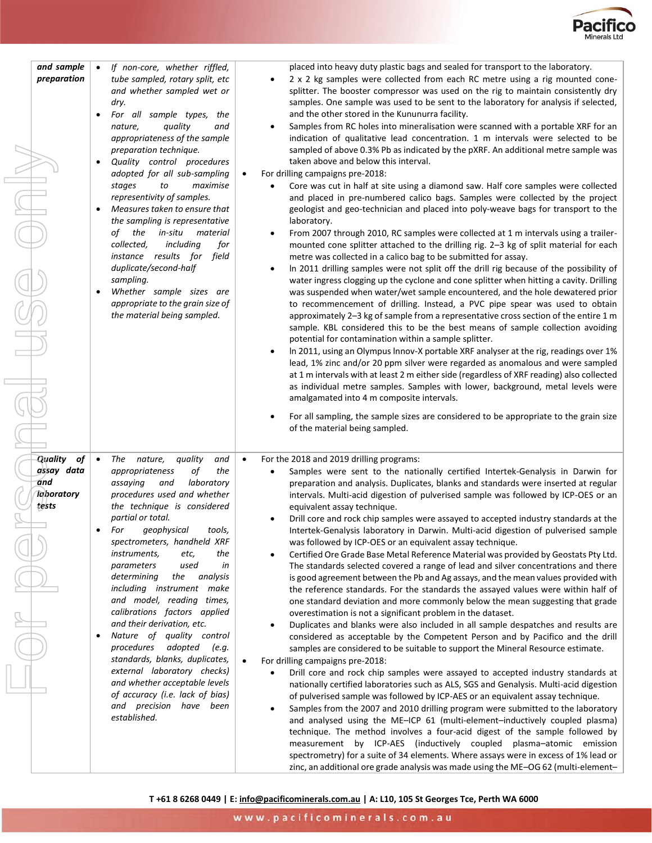

| and sample<br>preparation                                 | If non-core, whether riffled,<br>tube sampled, rotary split, etc<br>and whether sampled wet or<br>dry.<br>For all sample types,<br>the<br>quality<br>nature,<br>and<br>appropriateness of the sample<br>preparation technique.<br>Quality control procedures<br>$\bullet$<br>adopted for all sub-sampling<br>maximise<br>stages<br>to<br>representivity of samples.<br>Measures taken to ensure that<br>the sampling is representative<br>the<br>in-situ<br>material<br>of<br>collected,<br>including<br>for<br>instance results for field<br>duplicate/second-half<br>sampling.<br>Whether sample sizes are<br>$\bullet$<br>appropriate to the grain size of<br>the material being sampled.                                                | placed into heavy duty plastic bags and sealed for transport to the laboratory.<br>2 x 2 kg samples were collected from each RC metre using a rig mounted cone-<br>$\bullet$<br>splitter. The booster compressor was used on the rig to maintain consistently dry<br>samples. One sample was used to be sent to the laboratory for analysis if selected,<br>and the other stored in the Kununurra facility.<br>Samples from RC holes into mineralisation were scanned with a portable XRF for an<br>indication of qualitative lead concentration. 1 m intervals were selected to be<br>sampled of above 0.3% Pb as indicated by the pXRF. An additional metre sample was<br>taken above and below this interval.<br>For drilling campaigns pre-2018:<br>Core was cut in half at site using a diamond saw. Half core samples were collected<br>and placed in pre-numbered calico bags. Samples were collected by the project<br>geologist and geo-technician and placed into poly-weave bags for transport to the<br>laboratory.<br>From 2007 through 2010, RC samples were collected at 1 m intervals using a trailer-<br>mounted cone splitter attached to the drilling rig. 2-3 kg of split material for each<br>metre was collected in a calico bag to be submitted for assay.<br>In 2011 drilling samples were not split off the drill rig because of the possibility of<br>water ingress clogging up the cyclone and cone splitter when hitting a cavity. Drilling<br>was suspended when water/wet sample encountered, and the hole dewatered prior<br>to recommencement of drilling. Instead, a PVC pipe spear was used to obtain<br>approximately 2-3 kg of sample from a representative cross section of the entire 1 m<br>sample. KBL considered this to be the best means of sample collection avoiding<br>potential for contamination within a sample splitter.<br>In 2011, using an Olympus Innov-X portable XRF analyser at the rig, readings over 1%<br>lead, 1% zinc and/or 20 ppm silver were regarded as anomalous and were sampled<br>at 1 m intervals with at least 2 m either side (regardless of XRF reading) also collected<br>as individual metre samples. Samples with lower, background, metal levels were<br>amalgamated into 4 m composite intervals.<br>For all sampling, the sample sizes are considered to be appropriate to the grain size<br>of the material being sampled. |
|-----------------------------------------------------------|---------------------------------------------------------------------------------------------------------------------------------------------------------------------------------------------------------------------------------------------------------------------------------------------------------------------------------------------------------------------------------------------------------------------------------------------------------------------------------------------------------------------------------------------------------------------------------------------------------------------------------------------------------------------------------------------------------------------------------------------|-------------------------------------------------------------------------------------------------------------------------------------------------------------------------------------------------------------------------------------------------------------------------------------------------------------------------------------------------------------------------------------------------------------------------------------------------------------------------------------------------------------------------------------------------------------------------------------------------------------------------------------------------------------------------------------------------------------------------------------------------------------------------------------------------------------------------------------------------------------------------------------------------------------------------------------------------------------------------------------------------------------------------------------------------------------------------------------------------------------------------------------------------------------------------------------------------------------------------------------------------------------------------------------------------------------------------------------------------------------------------------------------------------------------------------------------------------------------------------------------------------------------------------------------------------------------------------------------------------------------------------------------------------------------------------------------------------------------------------------------------------------------------------------------------------------------------------------------------------------------------------------------------------------------------------------------------------------------------------------------------------------------------------------------------------------------------------------------------------------------------------------------------------------------------------------------------------------------------------------------------------------------------------------------------------------------------------------------------------------------------------------------------------------|
| Quality<br>of<br>assay data<br>and<br>Taboratory<br>tests | The nature,<br>quality<br>$\bullet$<br>and<br>of<br>the<br>appropriateness<br>assaying<br>and<br>laboratory<br>procedures used and whether<br>the technique is considered<br>partial or total.<br>geophysical<br>tools,<br>For<br>spectrometers, handheld XRF<br>instruments,<br>etc,<br>the<br>used<br>in<br>parameters<br>determining<br>the<br>analysis<br>including instrument make<br>and model, reading times,<br>calibrations factors applied<br>and their derivation, etc.<br>Nature of quality control<br>$\bullet$<br>procedures adopted<br>(e.g.<br>standards, blanks, duplicates,<br>external laboratory checks)<br>and whether acceptable levels<br>of accuracy (i.e. lack of bias)<br>and precision have been<br>established. | For the 2018 and 2019 drilling programs:<br>Samples were sent to the nationally certified Intertek-Genalysis in Darwin for<br>preparation and analysis. Duplicates, blanks and standards were inserted at regular<br>intervals. Multi-acid digestion of pulverised sample was followed by ICP-OES or an<br>equivalent assay technique.<br>Drill core and rock chip samples were assayed to accepted industry standards at the<br>$\bullet$<br>Intertek-Genalysis laboratory in Darwin. Multi-acid digestion of pulverised sample<br>was followed by ICP-OES or an equivalent assay technique.<br>Certified Ore Grade Base Metal Reference Material was provided by Geostats Pty Ltd.<br>The standards selected covered a range of lead and silver concentrations and there<br>is good agreement between the Pb and Ag assays, and the mean values provided with<br>the reference standards. For the standards the assayed values were within half of<br>one standard deviation and more commonly below the mean suggesting that grade<br>overestimation is not a significant problem in the dataset.<br>Duplicates and blanks were also included in all sample despatches and results are<br>considered as acceptable by the Competent Person and by Pacifico and the drill<br>samples are considered to be suitable to support the Mineral Resource estimate.<br>For drilling campaigns pre-2018:<br>Drill core and rock chip samples were assayed to accepted industry standards at<br>$\bullet$<br>nationally certified laboratories such as ALS, SGS and Genalysis. Multi-acid digestion<br>of pulverised sample was followed by ICP-AES or an equivalent assay technique.<br>Samples from the 2007 and 2010 drilling program were submitted to the laboratory<br>and analysed using the ME-ICP 61 (multi-element-inductively coupled plasma)<br>technique. The method involves a four-acid digest of the sample followed by<br>measurement by ICP-AES (inductively coupled plasma-atomic emission<br>spectrometry) for a suite of 34 elements. Where assays were in excess of 1% lead or                                                                                                                                                                                                                                                                                                               |

**T +61 8 6268 0449 | E: [info@pacificominerals.com.au](mailto:info@pacificominerals.com.au) | A: L10, 105 St Georges Tce, Perth WA 6000**

zinc, an additional ore grade analysis was made using the ME–OG 62 (multi-element–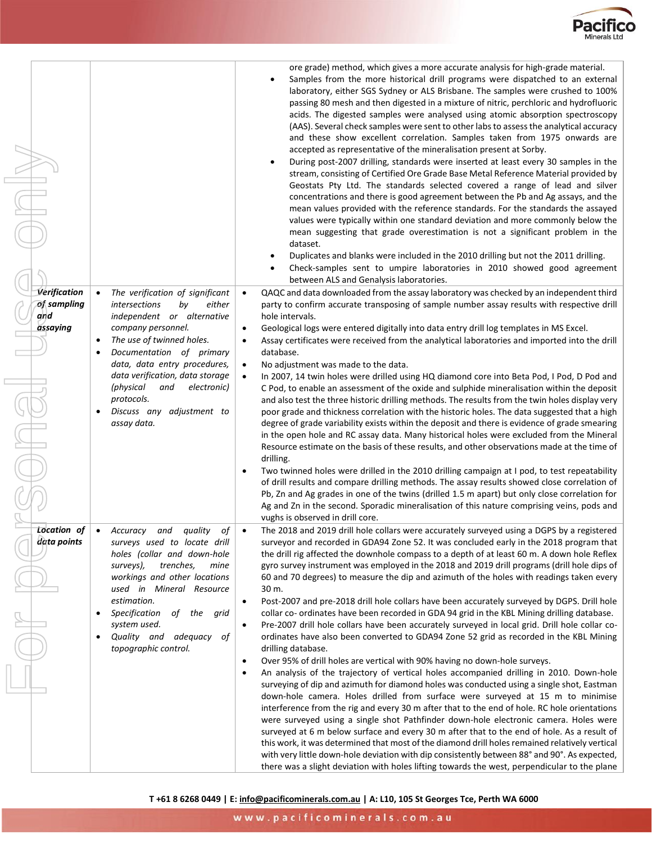

| Verification<br>of sampling<br>and<br>assaying | The verification of significant<br><i>intersections</i><br>bv<br>either<br>independent or alternative<br>company personnel.<br>The use of twinned holes.<br>٠<br>Documentation of primary<br>٠<br>data, data entry procedures,<br>data verification, data storage<br>(physical<br>and<br>electronic)<br>protocols.<br>Discuss any adjustment to<br>$\bullet$<br>assay data. | ore grade) method, which gives a more accurate analysis for high-grade material.<br>Samples from the more historical drill programs were dispatched to an external<br>$\bullet$<br>laboratory, either SGS Sydney or ALS Brisbane. The samples were crushed to 100%<br>passing 80 mesh and then digested in a mixture of nitric, perchloric and hydrofluoric<br>acids. The digested samples were analysed using atomic absorption spectroscopy<br>(AAS). Several check samples were sent to other labs to assess the analytical accuracy<br>and these show excellent correlation. Samples taken from 1975 onwards are<br>accepted as representative of the mineralisation present at Sorby.<br>During post-2007 drilling, standards were inserted at least every 30 samples in the<br>$\bullet$<br>stream, consisting of Certified Ore Grade Base Metal Reference Material provided by<br>Geostats Pty Ltd. The standards selected covered a range of lead and silver<br>concentrations and there is good agreement between the Pb and Ag assays, and the<br>mean values provided with the reference standards. For the standards the assayed<br>values were typically within one standard deviation and more commonly below the<br>mean suggesting that grade overestimation is not a significant problem in the<br>dataset.<br>Duplicates and blanks were included in the 2010 drilling but not the 2011 drilling.<br>Check-samples sent to umpire laboratories in 2010 showed good agreement<br>between ALS and Genalysis laboratories.<br>QAQC and data downloaded from the assay laboratory was checked by an independent third<br>$\bullet$<br>party to confirm accurate transposing of sample number assay results with respective drill<br>hole intervals.<br>Geological logs were entered digitally into data entry drill log templates in MS Excel.<br>$\bullet$<br>Assay certificates were received from the analytical laboratories and imported into the drill<br>database.<br>No adjustment was made to the data.<br>٠<br>In 2007, 14 twin holes were drilled using HQ diamond core into Beta Pod, I Pod, D Pod and<br>C Pod, to enable an assessment of the oxide and sulphide mineralisation within the deposit<br>and also test the three historic drilling methods. The results from the twin holes display very<br>poor grade and thickness correlation with the historic holes. The data suggested that a high<br>degree of grade variability exists within the deposit and there is evidence of grade smearing<br>in the open hole and RC assay data. Many historical holes were excluded from the Mineral<br>Resource estimate on the basis of these results, and other observations made at the time of<br>drilling.<br>Two twinned holes were drilled in the 2010 drilling campaign at I pod, to test repeatability<br>of drill results and compare drilling methods. The assay results showed close correlation of<br>Pb, Zn and Ag grades in one of the twins (drilled 1.5 m apart) but only close correlation for |
|------------------------------------------------|-----------------------------------------------------------------------------------------------------------------------------------------------------------------------------------------------------------------------------------------------------------------------------------------------------------------------------------------------------------------------------|---------------------------------------------------------------------------------------------------------------------------------------------------------------------------------------------------------------------------------------------------------------------------------------------------------------------------------------------------------------------------------------------------------------------------------------------------------------------------------------------------------------------------------------------------------------------------------------------------------------------------------------------------------------------------------------------------------------------------------------------------------------------------------------------------------------------------------------------------------------------------------------------------------------------------------------------------------------------------------------------------------------------------------------------------------------------------------------------------------------------------------------------------------------------------------------------------------------------------------------------------------------------------------------------------------------------------------------------------------------------------------------------------------------------------------------------------------------------------------------------------------------------------------------------------------------------------------------------------------------------------------------------------------------------------------------------------------------------------------------------------------------------------------------------------------------------------------------------------------------------------------------------------------------------------------------------------------------------------------------------------------------------------------------------------------------------------------------------------------------------------------------------------------------------------------------------------------------------------------------------------------------------------------------------------------------------------------------------------------------------------------------------------------------------------------------------------------------------------------------------------------------------------------------------------------------------------------------------------------------------------------------------------------------------------------------------------------------------------------------------------------------------------------------------------------------------------------------------------------------------------------------------------------------------------------------------------------------------------------------------------------------------------------------------|
| Location of                                    | Accuracy<br>quality<br>οf<br>and                                                                                                                                                                                                                                                                                                                                            | Ag and Zn in the second. Sporadic mineralisation of this nature comprising veins, pods and<br>vughs is observed in drill core.<br>The 2018 and 2019 drill hole collars were accurately surveyed using a DGPS by a registered                                                                                                                                                                                                                                                                                                                                                                                                                                                                                                                                                                                                                                                                                                                                                                                                                                                                                                                                                                                                                                                                                                                                                                                                                                                                                                                                                                                                                                                                                                                                                                                                                                                                                                                                                                                                                                                                                                                                                                                                                                                                                                                                                                                                                                                                                                                                                                                                                                                                                                                                                                                                                                                                                                                                                                                                                |
| data points                                    | surveys used to locate drill<br>holes (collar and down-hole<br>trenches,<br>surveys),<br>mine<br>workings and other locations<br>used in Mineral Resource<br>estimation.<br>Specification<br>of the grid<br>system used.<br>Quality and adequacy<br>οf<br>$\bullet$<br>topographic control.                                                                                 | surveyor and recorded in GDA94 Zone 52. It was concluded early in the 2018 program that<br>the drill rig affected the downhole compass to a depth of at least 60 m. A down hole Reflex<br>gyro survey instrument was employed in the 2018 and 2019 drill programs (drill hole dips of<br>60 and 70 degrees) to measure the dip and azimuth of the holes with readings taken every<br>30 m.<br>Post-2007 and pre-2018 drill hole collars have been accurately surveyed by DGPS. Drill hole<br>collar co- ordinates have been recorded in GDA 94 grid in the KBL Mining drilling database.<br>Pre-2007 drill hole collars have been accurately surveyed in local grid. Drill hole collar co-<br>ordinates have also been converted to GDA94 Zone 52 grid as recorded in the KBL Mining<br>drilling database.<br>Over 95% of drill holes are vertical with 90% having no down-hole surveys.<br>$\bullet$<br>An analysis of the trajectory of vertical holes accompanied drilling in 2010. Down-hole<br>$\bullet$<br>surveying of dip and azimuth for diamond holes was conducted using a single shot, Eastman<br>down-hole camera. Holes drilled from surface were surveyed at 15 m to minimise<br>interference from the rig and every 30 m after that to the end of hole. RC hole orientations<br>were surveyed using a single shot Pathfinder down-hole electronic camera. Holes were<br>surveyed at 6 m below surface and every 30 m after that to the end of hole. As a result of<br>this work, it was determined that most of the diamond drill holes remained relatively vertical<br>with very little down-hole deviation with dip consistently between 88° and 90°. As expected,<br>there was a slight deviation with holes lifting towards the west, perpendicular to the plane                                                                                                                                                                                                                                                                                                                                                                                                                                                                                                                                                                                                                                                                                                                                                                                                                                                                                                                                                                                                                                                                                                                                                                                                                                                        |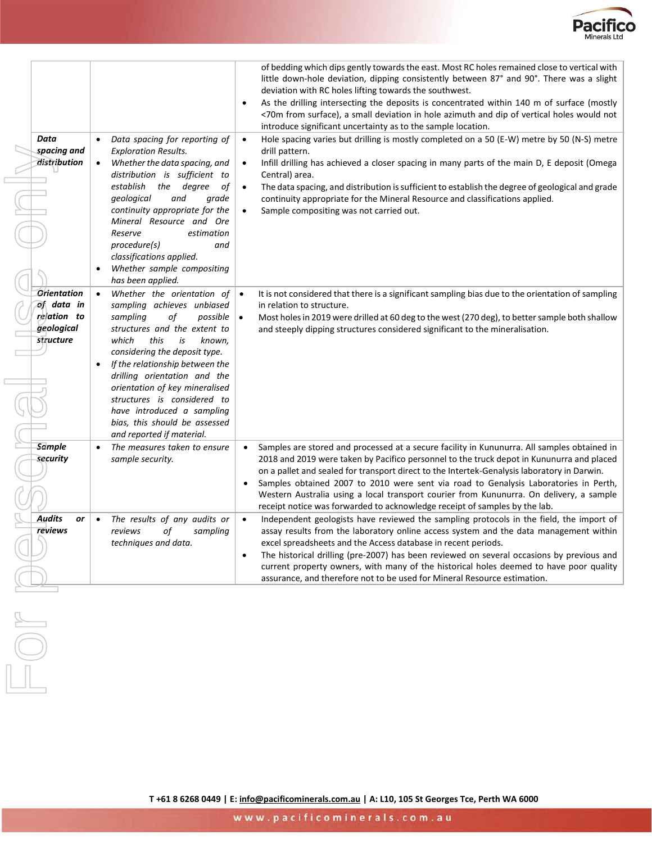

|                                                                            |                                                                                                                                                                                                                                                                                                                                                                                                                           | assurance, and therefore not to be used for Mineral Resource estimation.                                                                                                                                                                                                                                                                                                                                                                                                                                                                                                                                                                                                                                                                                                                                                                                                                                                                                                                                                 |
|----------------------------------------------------------------------------|---------------------------------------------------------------------------------------------------------------------------------------------------------------------------------------------------------------------------------------------------------------------------------------------------------------------------------------------------------------------------------------------------------------------------|--------------------------------------------------------------------------------------------------------------------------------------------------------------------------------------------------------------------------------------------------------------------------------------------------------------------------------------------------------------------------------------------------------------------------------------------------------------------------------------------------------------------------------------------------------------------------------------------------------------------------------------------------------------------------------------------------------------------------------------------------------------------------------------------------------------------------------------------------------------------------------------------------------------------------------------------------------------------------------------------------------------------------|
| <b>Audits</b><br>or<br><b>reviews</b>                                      | The results of any audits or<br>оf<br>sampling<br>reviews<br>techniques and data.                                                                                                                                                                                                                                                                                                                                         | Independent geologists have reviewed the sampling protocols in the field, the import of<br>$\bullet$<br>assay results from the laboratory online access system and the data management within<br>excel spreadsheets and the Access database in recent periods.<br>The historical drilling (pre-2007) has been reviewed on several occasions by previous and<br>$\bullet$<br>current property owners, with many of the historical holes deemed to have poor quality                                                                                                                                                                                                                                                                                                                                                                                                                                                                                                                                                       |
| <b>Sample</b><br>security                                                  | The measures taken to ensure<br>sample security.                                                                                                                                                                                                                                                                                                                                                                          | Samples are stored and processed at a secure facility in Kununurra. All samples obtained in<br>2018 and 2019 were taken by Pacifico personnel to the truck depot in Kununurra and placed<br>on a pallet and sealed for transport direct to the Intertek-Genalysis laboratory in Darwin.<br>Samples obtained 2007 to 2010 were sent via road to Genalysis Laboratories in Perth,<br>٠<br>Western Australia using a local transport courier from Kununurra. On delivery, a sample<br>receipt notice was forwarded to acknowledge receipt of samples by the lab.                                                                                                                                                                                                                                                                                                                                                                                                                                                            |
| <b>Orientation</b><br>of data in<br>relation to<br>geological<br>structure | Whether the orientation of<br>sampling achieves unbiased<br>sampling<br>of<br>possible<br>structures and the extent to<br>which<br>this<br>is<br>known,<br>considering the deposit type.<br>If the relationship between the<br>drilling orientation and the<br>orientation of key mineralised<br>structures is considered to<br>have introduced a sampling<br>bias, this should be assessed<br>and reported if material.  | It is not considered that there is a significant sampling bias due to the orientation of sampling<br>$\bullet$<br>in relation to structure.<br>Most holes in 2019 were drilled at 60 deg to the west (270 deg), to better sample both shallow<br>and steeply dipping structures considered significant to the mineralisation.                                                                                                                                                                                                                                                                                                                                                                                                                                                                                                                                                                                                                                                                                            |
| Data<br>spacing and<br>distribution                                        | Data spacing for reporting of<br>$\bullet$<br><b>Exploration Results.</b><br>Whether the data spacing, and<br>$\bullet$<br>distribution is sufficient to<br>establish<br>the degree<br>оf<br>geological<br>and<br>grade<br>continuity appropriate for the<br>Mineral Resource and Ore<br>Reserve<br>estimation<br>procedure(s)<br>and<br>classifications applied.<br>Whether sample compositing<br>٠<br>has been applied. | of bedding which dips gently towards the east. Most RC holes remained close to vertical with<br>little down-hole deviation, dipping consistently between 87° and 90°. There was a slight<br>deviation with RC holes lifting towards the southwest.<br>As the drilling intersecting the deposits is concentrated within 140 m of surface (mostly<br>٠<br><70m from surface), a small deviation in hole azimuth and dip of vertical holes would not<br>introduce significant uncertainty as to the sample location.<br>Hole spacing varies but drilling is mostly completed on a 50 (E-W) metre by 50 (N-S) metre<br>$\bullet$<br>drill pattern.<br>Infill drilling has achieved a closer spacing in many parts of the main D, E deposit (Omega<br>$\bullet$<br>Central) area.<br>The data spacing, and distribution is sufficient to establish the degree of geological and grade<br>$\bullet$<br>continuity appropriate for the Mineral Resource and classifications applied.<br>Sample compositing was not carried out. |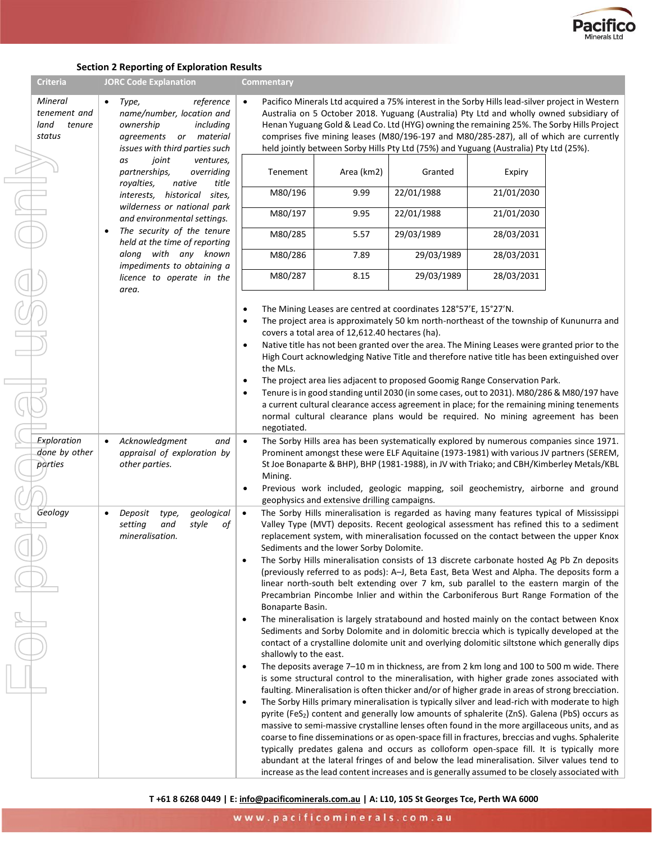

#### **Section 2 Reporting of Exploration Results**

| <b>Criteria</b>                                     | <b>JORC Code Explanation</b>                                                                                                                       | Commentary                                                                        |                                                 |                                                                                                                                                                                                                                                                                                                                                                                                                                                                                                                                                                                                                                                                                                                                                                                                                                                                                                                                                                                                                                                                                                                                                                                                                                                                                                                                                                                                                                                                                                                                                                                                                                                                                                                                                                                                                                                                                                                                                                  |            |  |
|-----------------------------------------------------|----------------------------------------------------------------------------------------------------------------------------------------------------|-----------------------------------------------------------------------------------|-------------------------------------------------|------------------------------------------------------------------------------------------------------------------------------------------------------------------------------------------------------------------------------------------------------------------------------------------------------------------------------------------------------------------------------------------------------------------------------------------------------------------------------------------------------------------------------------------------------------------------------------------------------------------------------------------------------------------------------------------------------------------------------------------------------------------------------------------------------------------------------------------------------------------------------------------------------------------------------------------------------------------------------------------------------------------------------------------------------------------------------------------------------------------------------------------------------------------------------------------------------------------------------------------------------------------------------------------------------------------------------------------------------------------------------------------------------------------------------------------------------------------------------------------------------------------------------------------------------------------------------------------------------------------------------------------------------------------------------------------------------------------------------------------------------------------------------------------------------------------------------------------------------------------------------------------------------------------------------------------------------------------|------------|--|
| Mineral<br>tenement and<br>land<br>tenure<br>status | reference<br>Type,<br>$\bullet$<br>name/number, location and<br>ownership<br>including<br>agreements or material<br>issues with third parties such |                                                                                   |                                                 | Pacifico Minerals Ltd acquired a 75% interest in the Sorby Hills lead-silver project in Western<br>Australia on 5 October 2018. Yuguang (Australia) Pty Ltd and wholly owned subsidiary of<br>Henan Yuguang Gold & Lead Co. Ltd (HYG) owning the remaining 25%. The Sorby Hills Project<br>comprises five mining leases (M80/196-197 and M80/285-287), all of which are currently<br>held jointly between Sorby Hills Pty Ltd (75%) and Yuguang (Australia) Pty Ltd (25%).                                                                                                                                                                                                                                                                                                                                                                                                                                                                                                                                                                                                                                                                                                                                                                                                                                                                                                                                                                                                                                                                                                                                                                                                                                                                                                                                                                                                                                                                                       |            |  |
|                                                     | joint<br>ventures,<br>as<br>partnerships,<br>overriding<br>native<br>title<br>royalties,                                                           | Tenement                                                                          | Area (km2)                                      | Granted                                                                                                                                                                                                                                                                                                                                                                                                                                                                                                                                                                                                                                                                                                                                                                                                                                                                                                                                                                                                                                                                                                                                                                                                                                                                                                                                                                                                                                                                                                                                                                                                                                                                                                                                                                                                                                                                                                                                                          | Expiry     |  |
|                                                     | interests, historical<br>sites,                                                                                                                    | M80/196                                                                           | 9.99                                            | 22/01/1988                                                                                                                                                                                                                                                                                                                                                                                                                                                                                                                                                                                                                                                                                                                                                                                                                                                                                                                                                                                                                                                                                                                                                                                                                                                                                                                                                                                                                                                                                                                                                                                                                                                                                                                                                                                                                                                                                                                                                       | 21/01/2030 |  |
|                                                     | wilderness or national park<br>and environmental settings.                                                                                         | M80/197                                                                           | 9.95                                            | 22/01/1988                                                                                                                                                                                                                                                                                                                                                                                                                                                                                                                                                                                                                                                                                                                                                                                                                                                                                                                                                                                                                                                                                                                                                                                                                                                                                                                                                                                                                                                                                                                                                                                                                                                                                                                                                                                                                                                                                                                                                       | 21/01/2030 |  |
|                                                     | The security of the tenure<br>held at the time of reporting                                                                                        | M80/285                                                                           | 5.57                                            | 29/03/1989                                                                                                                                                                                                                                                                                                                                                                                                                                                                                                                                                                                                                                                                                                                                                                                                                                                                                                                                                                                                                                                                                                                                                                                                                                                                                                                                                                                                                                                                                                                                                                                                                                                                                                                                                                                                                                                                                                                                                       | 28/03/2031 |  |
|                                                     | along with any known<br>impediments to obtaining a                                                                                                 | M80/286                                                                           | 7.89                                            | 29/03/1989                                                                                                                                                                                                                                                                                                                                                                                                                                                                                                                                                                                                                                                                                                                                                                                                                                                                                                                                                                                                                                                                                                                                                                                                                                                                                                                                                                                                                                                                                                                                                                                                                                                                                                                                                                                                                                                                                                                                                       | 28/03/2031 |  |
|                                                     | licence to operate in the<br>area.                                                                                                                 | M80/287                                                                           | 8.15                                            | 29/03/1989                                                                                                                                                                                                                                                                                                                                                                                                                                                                                                                                                                                                                                                                                                                                                                                                                                                                                                                                                                                                                                                                                                                                                                                                                                                                                                                                                                                                                                                                                                                                                                                                                                                                                                                                                                                                                                                                                                                                                       | 28/03/2031 |  |
|                                                     |                                                                                                                                                    | ٠<br>$\bullet$<br>$\bullet$<br>the MLs.<br>$\bullet$<br>$\bullet$<br>negotiated.  | covers a total area of 12,612.40 hectares (ha). | The Mining Leases are centred at coordinates 128°57'E, 15°27'N.<br>The project area is approximately 50 km north-northeast of the township of Kununurra and<br>Native title has not been granted over the area. The Mining Leases were granted prior to the<br>High Court acknowledging Native Title and therefore native title has been extinguished over<br>The project area lies adjacent to proposed Goomig Range Conservation Park.<br>Tenure is in good standing until 2030 (in some cases, out to 2031). M80/286 & M80/197 have<br>a current cultural clearance access agreement in place; for the remaining mining tenements<br>normal cultural clearance plans would be required. No mining agreement has been                                                                                                                                                                                                                                                                                                                                                                                                                                                                                                                                                                                                                                                                                                                                                                                                                                                                                                                                                                                                                                                                                                                                                                                                                                          |            |  |
| Exploration<br>done by other<br>parties             | Acknowledgment<br>$\bullet$<br>and<br>appraisal of exploration by<br>other parties.                                                                | $\bullet$<br>Mining.                                                              | geophysics and extensive drilling campaigns.    | The Sorby Hills area has been systematically explored by numerous companies since 1971.<br>Prominent amongst these were ELF Aquitaine (1973-1981) with various JV partners (SEREM,<br>St Joe Bonaparte & BHP), BHP (1981-1988), in JV with Triako; and CBH/Kimberley Metals/KBL<br>Previous work included, geologic mapping, soil geochemistry, airborne and ground                                                                                                                                                                                                                                                                                                                                                                                                                                                                                                                                                                                                                                                                                                                                                                                                                                                                                                                                                                                                                                                                                                                                                                                                                                                                                                                                                                                                                                                                                                                                                                                              |            |  |
| Geology                                             | geological<br>Deposit<br>type,<br>setting<br>and<br>style<br>оf<br>mineralisation.                                                                 | $\bullet$<br>Bonaparte Basin.<br>shallowly to the east.<br>$\bullet$<br>$\bullet$ | Sediments and the lower Sorby Dolomite.         | The Sorby Hills mineralisation is regarded as having many features typical of Mississippi<br>Valley Type (MVT) deposits. Recent geological assessment has refined this to a sediment<br>replacement system, with mineralisation focussed on the contact between the upper Knox<br>The Sorby Hills mineralisation consists of 13 discrete carbonate hosted Ag Pb Zn deposits<br>(previously referred to as pods): A-J, Beta East, Beta West and Alpha. The deposits form a<br>linear north-south belt extending over 7 km, sub parallel to the eastern margin of the<br>Precambrian Pincombe Inlier and within the Carboniferous Burt Range Formation of the<br>The mineralisation is largely stratabound and hosted mainly on the contact between Knox<br>Sediments and Sorby Dolomite and in dolomitic breccia which is typically developed at the<br>contact of a crystalline dolomite unit and overlying dolomitic siltstone which generally dips<br>The deposits average 7-10 m in thickness, are from 2 km long and 100 to 500 m wide. There<br>is some structural control to the mineralisation, with higher grade zones associated with<br>faulting. Mineralisation is often thicker and/or of higher grade in areas of strong brecciation.<br>The Sorby Hills primary mineralisation is typically silver and lead-rich with moderate to high<br>pyrite (FeS <sub>2</sub> ) content and generally low amounts of sphalerite (ZnS). Galena (PbS) occurs as<br>massive to semi-massive crystalline lenses often found in the more argillaceous units, and as<br>coarse to fine disseminations or as open-space fill in fractures, breccias and vughs. Sphalerite<br>typically predates galena and occurs as colloform open-space fill. It is typically more<br>abundant at the lateral fringes of and below the lead mineralisation. Silver values tend to<br>increase as the lead content increases and is generally assumed to be closely associated with |            |  |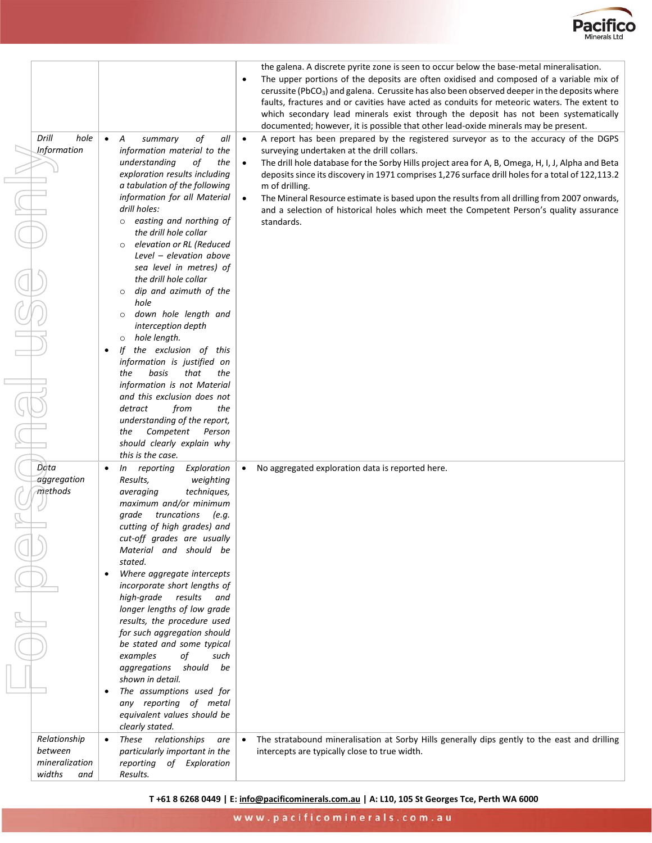

|                                                            |                                                                                                                                                                                                                                                                                                                                                                                                                                                                                                                                                                                                                                                                                                                      | the galena. A discrete pyrite zone is seen to occur below the base-metal mineralisation.<br>The upper portions of the deposits are often oxidised and composed of a variable mix of<br>$\bullet$<br>cerussite (PbCO <sub>3</sub> ) and galena. Cerussite has also been observed deeper in the deposits where<br>faults, fractures and or cavities have acted as conduits for meteoric waters. The extent to<br>which secondary lead minerals exist through the deposit has not been systematically<br>documented; however, it is possible that other lead-oxide minerals may be present.                       |
|------------------------------------------------------------|----------------------------------------------------------------------------------------------------------------------------------------------------------------------------------------------------------------------------------------------------------------------------------------------------------------------------------------------------------------------------------------------------------------------------------------------------------------------------------------------------------------------------------------------------------------------------------------------------------------------------------------------------------------------------------------------------------------------|----------------------------------------------------------------------------------------------------------------------------------------------------------------------------------------------------------------------------------------------------------------------------------------------------------------------------------------------------------------------------------------------------------------------------------------------------------------------------------------------------------------------------------------------------------------------------------------------------------------|
| Drill<br>hole<br><b>Information</b>                        | of<br>$\bullet$<br>all<br>A<br>summary<br>information material to the<br>understanding<br>оf<br>the<br>exploration results including<br>a tabulation of the following<br>information for all Material<br>drill holes:<br>o easting and northing of<br>the drill hole collar<br>elevation or RL (Reduced<br>$\circ$<br>Level - elevation above<br>sea level in metres) of<br>the drill hole collar<br>dip and azimuth of the<br>$\circ$<br>hole<br>down hole length and<br>$\circ$<br>interception depth<br>hole length.<br>$\circ$<br>If the exclusion of this<br>information is justified on<br>that<br>basis<br>the<br>the<br>information is not Material<br>and this exclusion does not<br>detract<br>from<br>the | A report has been prepared by the registered surveyor as to the accuracy of the DGPS<br>$\bullet$<br>surveying undertaken at the drill collars.<br>The drill hole database for the Sorby Hills project area for A, B, Omega, H, I, J, Alpha and Beta<br>$\bullet$<br>deposits since its discovery in 1971 comprises 1,276 surface drill holes for a total of 122,113.2<br>m of drilling.<br>The Mineral Resource estimate is based upon the results from all drilling from 2007 onwards,<br>$\bullet$<br>and a selection of historical holes which meet the Competent Person's quality assurance<br>standards. |
|                                                            | understanding of the report,<br>Competent<br>the<br>Person<br>should clearly explain why<br>this is the case.                                                                                                                                                                                                                                                                                                                                                                                                                                                                                                                                                                                                        |                                                                                                                                                                                                                                                                                                                                                                                                                                                                                                                                                                                                                |
| Data<br>aggregation<br>methods                             | reporting<br>Exploration<br>In<br>$\bullet$<br>Results,<br>weighting<br>techniques,<br>averaging<br>maximum and/or minimum<br>grade truncations (e.g.<br>cutting of high grades) and<br>cut-off grades are usually<br>Material and should be<br>stated.<br>Where aggregate intercepts<br>incorporate short lengths of<br>high-grade results and<br>longer lengths of low grade<br>results, the procedure used<br>for such aggregation should<br>be stated and some typical<br>examples<br>of<br>such<br>aggregations should be<br>shown in detail.<br>The assumptions used for<br>any reporting of metal<br>equivalent values should be<br>clearly stated.                                                           | No aggregated exploration data is reported here.                                                                                                                                                                                                                                                                                                                                                                                                                                                                                                                                                               |
| Relationship<br>between<br>mineralization<br>widths<br>and | These relationships<br>are<br>particularly important in the<br>reporting of Exploration<br>Results.                                                                                                                                                                                                                                                                                                                                                                                                                                                                                                                                                                                                                  | The stratabound mineralisation at Sorby Hills generally dips gently to the east and drilling<br>intercepts are typically close to true width.                                                                                                                                                                                                                                                                                                                                                                                                                                                                  |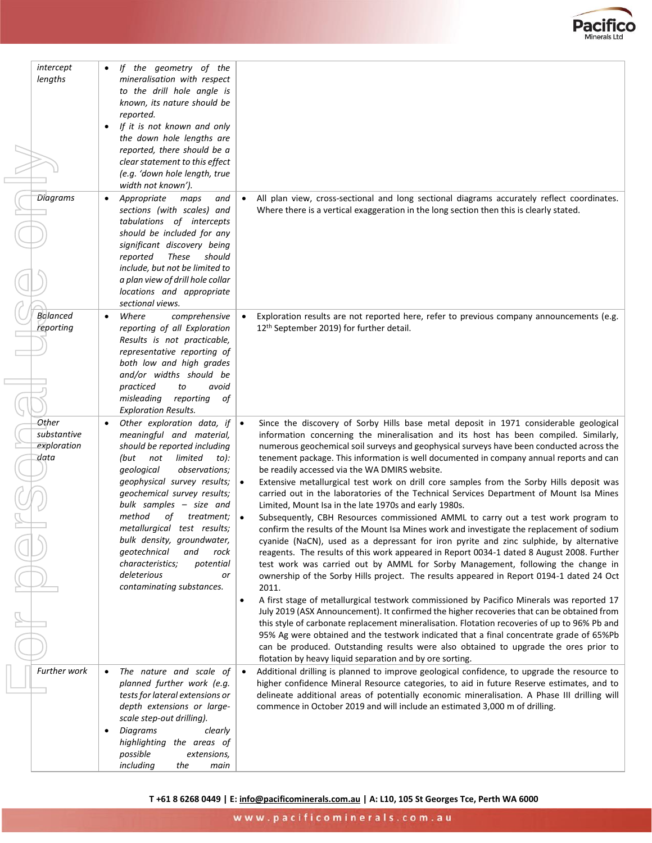

| intercept<br>lengths                        | If the geometry of the<br>mineralisation with respect<br>to the drill hole angle is<br>known, its nature should be<br>reported.<br>If it is not known and only<br>the down hole lengths are<br>reported, there should be a<br>clear statement to this effect<br>(e.g. 'down hole length, true<br>width not known').                                                                                                                                           |                                                                                                                                                                                                                                                                                                                                                                                                                                                                                                                                                                                                                                                                                                                                                                                                                                                                                                                                                                                                                                                                                                                                                                                                                                                                                                                                                                                                                                                                                                                                                                                                                                                                                                                                                                                                                         |
|---------------------------------------------|---------------------------------------------------------------------------------------------------------------------------------------------------------------------------------------------------------------------------------------------------------------------------------------------------------------------------------------------------------------------------------------------------------------------------------------------------------------|-------------------------------------------------------------------------------------------------------------------------------------------------------------------------------------------------------------------------------------------------------------------------------------------------------------------------------------------------------------------------------------------------------------------------------------------------------------------------------------------------------------------------------------------------------------------------------------------------------------------------------------------------------------------------------------------------------------------------------------------------------------------------------------------------------------------------------------------------------------------------------------------------------------------------------------------------------------------------------------------------------------------------------------------------------------------------------------------------------------------------------------------------------------------------------------------------------------------------------------------------------------------------------------------------------------------------------------------------------------------------------------------------------------------------------------------------------------------------------------------------------------------------------------------------------------------------------------------------------------------------------------------------------------------------------------------------------------------------------------------------------------------------------------------------------------------------|
| <b>Diagrams</b>                             | Appropriate<br>and<br>maps<br>٠<br>sections (with scales) and<br>tabulations of intercepts<br>should be included for any<br>significant discovery being<br>reported<br>These<br>should<br>include, but not be limited to<br>a plan view of drill hole collar<br>locations and appropriate<br>sectional views.                                                                                                                                                 | All plan view, cross-sectional and long sectional diagrams accurately reflect coordinates.<br>$\bullet$<br>Where there is a vertical exaggeration in the long section then this is clearly stated.                                                                                                                                                                                                                                                                                                                                                                                                                                                                                                                                                                                                                                                                                                                                                                                                                                                                                                                                                                                                                                                                                                                                                                                                                                                                                                                                                                                                                                                                                                                                                                                                                      |
| <b>Balanced</b><br>reporting                | Where<br>comprehensive<br>$\bullet$<br>reporting of all Exploration<br>Results is not practicable,<br>representative reporting of<br>both low and high grades<br>and/or widths should be<br>practiced<br>to<br>avoid<br>misleading<br>reporting<br>οf<br><b>Exploration Results.</b>                                                                                                                                                                          | Exploration results are not reported here, refer to previous company announcements (e.g.<br>12 <sup>th</sup> September 2019) for further detail.                                                                                                                                                                                                                                                                                                                                                                                                                                                                                                                                                                                                                                                                                                                                                                                                                                                                                                                                                                                                                                                                                                                                                                                                                                                                                                                                                                                                                                                                                                                                                                                                                                                                        |
| Other<br>substantive<br>exploration<br>data | Other exploration data, if<br>meaningful and material,<br>should be reported including<br>(but<br>not<br>limited<br>to):<br>qeological<br>observations;<br>geophysical survey results;<br>geochemical survey results;<br>bulk samples - size and<br>method<br>οf<br>treatment;<br>metallurgical test results;<br>bulk density, groundwater,<br>geotechnical<br>and<br>rock<br>characteristics;<br>potential<br>deleterious<br>or<br>contaminating substances. | Since the discovery of Sorby Hills base metal deposit in 1971 considerable geological<br>$\bullet$<br>information concerning the mineralisation and its host has been compiled. Similarly,<br>numerous geochemical soil surveys and geophysical surveys have been conducted across the<br>tenement package. This information is well documented in company annual reports and can<br>be readily accessed via the WA DMIRS website.<br>$\bullet$<br>Extensive metallurgical test work on drill core samples from the Sorby Hills deposit was<br>carried out in the laboratories of the Technical Services Department of Mount Isa Mines<br>Limited, Mount Isa in the late 1970s and early 1980s.<br>Subsequently, CBH Resources commissioned AMML to carry out a test work program to<br>confirm the results of the Mount Isa Mines work and investigate the replacement of sodium<br>cyanide (NaCN), used as a depressant for iron pyrite and zinc sulphide, by alternative<br>reagents. The results of this work appeared in Report 0034-1 dated 8 August 2008. Further<br>test work was carried out by AMML for Sorby Management, following the change in<br>ownership of the Sorby Hills project. The results appeared in Report 0194-1 dated 24 Oct<br>2011.<br>A first stage of metallurgical testwork commissioned by Pacifico Minerals was reported 17<br>$\bullet$<br>July 2019 (ASX Announcement). It confirmed the higher recoveries that can be obtained from<br>this style of carbonate replacement mineralisation. Flotation recoveries of up to 96% Pb and<br>95% Ag were obtained and the testwork indicated that a final concentrate grade of 65%Pb<br>can be produced. Outstanding results were also obtained to upgrade the ores prior to<br>flotation by heavy liquid separation and by ore sorting. |
| Further work                                | The nature and scale of<br>٠<br>planned further work (e.g.<br>tests for lateral extensions or<br>depth extensions or large-<br>scale step-out drilling).<br>Diagrams<br>clearly<br>٠<br>highlighting the areas of<br>possible<br>extensions,<br>including<br>the<br>main                                                                                                                                                                                      | Additional drilling is planned to improve geological confidence, to upgrade the resource to<br>$\bullet$<br>higher confidence Mineral Resource categories, to aid in future Reserve estimates, and to<br>delineate additional areas of potentially economic mineralisation. A Phase III drilling will<br>commence in October 2019 and will include an estimated 3,000 m of drilling.                                                                                                                                                                                                                                                                                                                                                                                                                                                                                                                                                                                                                                                                                                                                                                                                                                                                                                                                                                                                                                                                                                                                                                                                                                                                                                                                                                                                                                    |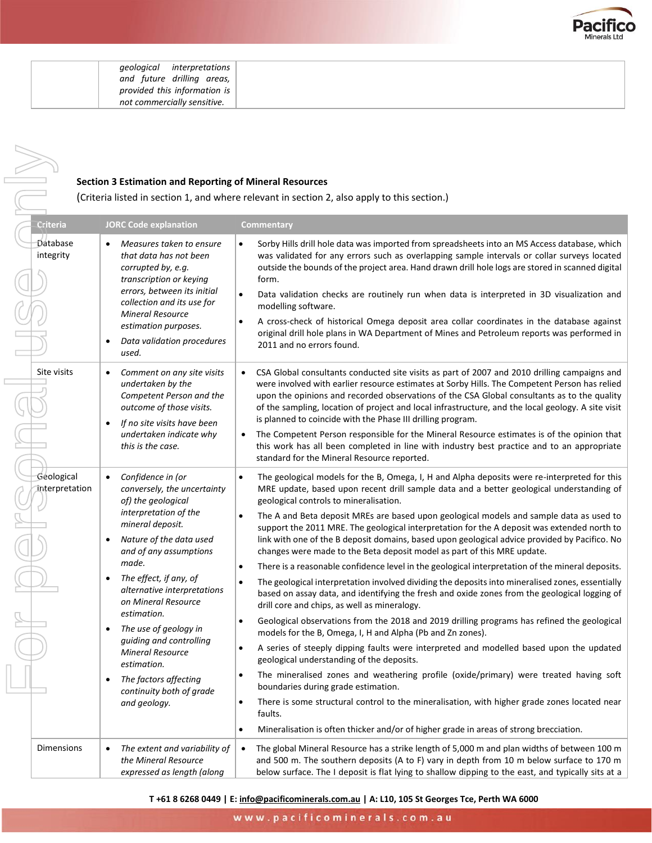

| <i>geological interpretations</i> |  |
|-----------------------------------|--|
| and future drilling areas,        |  |
| provided this information is      |  |
| not commercially sensitive.       |  |

#### **Section 3 Estimation and Reporting of Mineral Resources**

NR

| <b>Section 3 Estimation and Reporting of Mineral Resources</b><br>(Criteria listed in section 1, and where relevant in section 2, also apply to this section.) |                                                                                                                                                                                                                                                                                                                                                                                                                                                                                                         |                                                                                                                                                                                                                                                                                                                                                                                                                                                                                                                                                                                                                                                                                                                                                                                                                                                                                                                                                                                                                                                                                                                                                                                                                                                                                                                                                                                                                                                                                                                                                                                                                                                                                                                  |  |
|----------------------------------------------------------------------------------------------------------------------------------------------------------------|---------------------------------------------------------------------------------------------------------------------------------------------------------------------------------------------------------------------------------------------------------------------------------------------------------------------------------------------------------------------------------------------------------------------------------------------------------------------------------------------------------|------------------------------------------------------------------------------------------------------------------------------------------------------------------------------------------------------------------------------------------------------------------------------------------------------------------------------------------------------------------------------------------------------------------------------------------------------------------------------------------------------------------------------------------------------------------------------------------------------------------------------------------------------------------------------------------------------------------------------------------------------------------------------------------------------------------------------------------------------------------------------------------------------------------------------------------------------------------------------------------------------------------------------------------------------------------------------------------------------------------------------------------------------------------------------------------------------------------------------------------------------------------------------------------------------------------------------------------------------------------------------------------------------------------------------------------------------------------------------------------------------------------------------------------------------------------------------------------------------------------------------------------------------------------------------------------------------------------|--|
| Criteria                                                                                                                                                       | <b>JORC Code explanation</b>                                                                                                                                                                                                                                                                                                                                                                                                                                                                            | Commentary                                                                                                                                                                                                                                                                                                                                                                                                                                                                                                                                                                                                                                                                                                                                                                                                                                                                                                                                                                                                                                                                                                                                                                                                                                                                                                                                                                                                                                                                                                                                                                                                                                                                                                       |  |
| Database<br>integrity                                                                                                                                          | Measures taken to ensure<br>$\bullet$<br>that data has not been<br>corrupted by, e.g.<br>transcription or keying<br>errors, between its initial<br>collection and its use for<br><b>Mineral Resource</b><br>estimation purposes.<br>Data validation procedures<br>used.                                                                                                                                                                                                                                 | Sorby Hills drill hole data was imported from spreadsheets into an MS Access database, which<br>$\bullet$<br>was validated for any errors such as overlapping sample intervals or collar surveys located<br>outside the bounds of the project area. Hand drawn drill hole logs are stored in scanned digital<br>form.<br>Data validation checks are routinely run when data is interpreted in 3D visualization and<br>$\bullet$<br>modelling software.<br>A cross-check of historical Omega deposit area collar coordinates in the database against<br>$\bullet$<br>original drill hole plans in WA Department of Mines and Petroleum reports was performed in<br>2011 and no errors found.                                                                                                                                                                                                                                                                                                                                                                                                                                                                                                                                                                                                                                                                                                                                                                                                                                                                                                                                                                                                                      |  |
| Site visits                                                                                                                                                    | Comment on any site visits<br>$\bullet$<br>undertaken by the<br>Competent Person and the<br>outcome of those visits.<br>If no site visits have been<br>$\bullet$<br>undertaken indicate why<br>this is the case.                                                                                                                                                                                                                                                                                        | CSA Global consultants conducted site visits as part of 2007 and 2010 drilling campaigns and<br>were involved with earlier resource estimates at Sorby Hills. The Competent Person has relied<br>upon the opinions and recorded observations of the CSA Global consultants as to the quality<br>of the sampling, location of project and local infrastructure, and the local geology. A site visit<br>is planned to coincide with the Phase III drilling program.<br>The Competent Person responsible for the Mineral Resource estimates is of the opinion that<br>this work has all been completed in line with industry best practice and to an appropriate<br>standard for the Mineral Resource reported.                                                                                                                                                                                                                                                                                                                                                                                                                                                                                                                                                                                                                                                                                                                                                                                                                                                                                                                                                                                                     |  |
| Geological<br>Interpretation                                                                                                                                   | Confidence in (or<br>$\bullet$<br>conversely, the uncertainty<br>of) the geological<br>interpretation of the<br>mineral deposit.<br>Nature of the data used<br>$\bullet$<br>and of any assumptions<br>made.<br>The effect, if any, of<br>$\bullet$<br>alternative interpretations<br>on Mineral Resource<br>estimation.<br>The use of geology in<br>guiding and controlling<br><b>Mineral Resource</b><br>estimation.<br>The factors affecting<br>$\bullet$<br>continuity both of grade<br>and geology. | The geological models for the B, Omega, I, H and Alpha deposits were re-interpreted for this<br>$\bullet$<br>MRE update, based upon recent drill sample data and a better geological understanding of<br>geological controls to mineralisation.<br>The A and Beta deposit MREs are based upon geological models and sample data as used to<br>$\bullet$<br>support the 2011 MRE. The geological interpretation for the A deposit was extended north to<br>link with one of the B deposit domains, based upon geological advice provided by Pacifico. No<br>changes were made to the Beta deposit model as part of this MRE update.<br>There is a reasonable confidence level in the geological interpretation of the mineral deposits.<br>$\bullet$<br>The geological interpretation involved dividing the deposits into mineralised zones, essentially<br>$\bullet$<br>based on assay data, and identifying the fresh and oxide zones from the geological logging of<br>drill core and chips, as well as mineralogy.<br>Geological observations from the 2018 and 2019 drilling programs has refined the geological<br>٠<br>models for the B, Omega, I, H and Alpha (Pb and Zn zones).<br>A series of steeply dipping faults were interpreted and modelled based upon the updated<br>$\bullet$<br>geological understanding of the deposits.<br>The mineralised zones and weathering profile (oxide/primary) were treated having soft<br>٠<br>boundaries during grade estimation.<br>There is some structural control to the mineralisation, with higher grade zones located near<br>$\bullet$<br>faults.<br>Mineralisation is often thicker and/or of higher grade in areas of strong brecciation.<br>$\bullet$ |  |
| Dimensions                                                                                                                                                     | The extent and variability of<br>$\bullet$<br>the Mineral Resource<br>expressed as length (along                                                                                                                                                                                                                                                                                                                                                                                                        | The global Mineral Resource has a strike length of 5,000 m and plan widths of between 100 m<br>$\bullet$<br>and 500 m. The southern deposits (A to F) vary in depth from 10 m below surface to 170 m<br>below surface. The I deposit is flat lying to shallow dipping to the east, and typically sits at a                                                                                                                                                                                                                                                                                                                                                                                                                                                                                                                                                                                                                                                                                                                                                                                                                                                                                                                                                                                                                                                                                                                                                                                                                                                                                                                                                                                                       |  |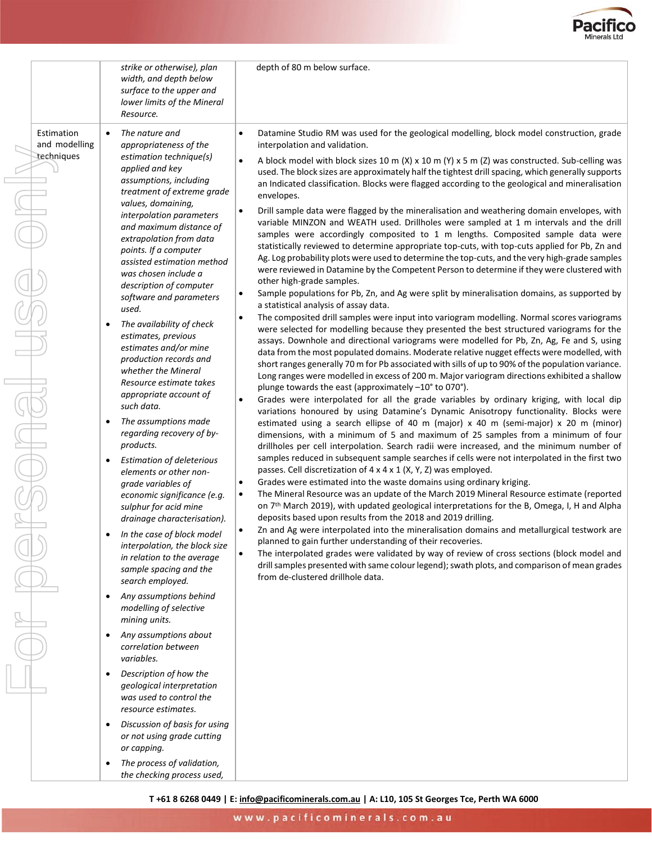

|                                                                                                                                         | strike or otherwise), plan<br>width, and depth below<br>surface to the upper and<br>lower limits of the Mineral<br>Resource.                                                 |                                                                                                                                                                                                                                                                                                                                                                                             | depth of 80 m below surface.                                                                                                                                                                                                                                                                                                                                                                                                                                                                                                     |
|-----------------------------------------------------------------------------------------------------------------------------------------|------------------------------------------------------------------------------------------------------------------------------------------------------------------------------|---------------------------------------------------------------------------------------------------------------------------------------------------------------------------------------------------------------------------------------------------------------------------------------------------------------------------------------------------------------------------------------------|----------------------------------------------------------------------------------------------------------------------------------------------------------------------------------------------------------------------------------------------------------------------------------------------------------------------------------------------------------------------------------------------------------------------------------------------------------------------------------------------------------------------------------|
| Estimation<br>and modelling                                                                                                             | The nature and<br>appropriateness of the                                                                                                                                     |                                                                                                                                                                                                                                                                                                                                                                                             | Datamine Studio RM was used for the geological modelling, block model construction, grade<br>interpolation and validation.                                                                                                                                                                                                                                                                                                                                                                                                       |
| techniques                                                                                                                              | estimation technique(s)<br>applied and key<br>assumptions, including<br>treatment of extreme grade<br>values, domaining,<br>interpolation parameters                         |                                                                                                                                                                                                                                                                                                                                                                                             | A block model with block sizes 10 m (X) x 10 m (Y) x 5 m (Z) was constructed. Sub-celling was<br>used. The block sizes are approximately half the tightest drill spacing, which generally supports<br>an Indicated classification. Blocks were flagged according to the geological and mineralisation<br>envelopes.<br>Drill sample data were flagged by the mineralisation and weathering domain envelopes, with                                                                                                                |
|                                                                                                                                         | and maximum distance of<br>extrapolation from data<br>points. If a computer<br>assisted estimation method<br>was chosen include a                                            |                                                                                                                                                                                                                                                                                                                                                                                             | variable MINZON and WEATH used. Drillholes were sampled at 1 m intervals and the drill<br>samples were accordingly composited to 1 m lengths. Composited sample data were<br>statistically reviewed to determine appropriate top-cuts, with top-cuts applied for Pb, Zn and<br>Ag. Log probability plots were used to determine the top-cuts, and the very high-grade samples<br>were reviewed in Datamine by the Competent Person to determine if they were clustered with                                                      |
|                                                                                                                                         | description of computer<br>software and parameters                                                                                                                           |                                                                                                                                                                                                                                                                                                                                                                                             | other high-grade samples.<br>Sample populations for Pb, Zn, and Ag were split by mineralisation domains, as supported by                                                                                                                                                                                                                                                                                                                                                                                                         |
|                                                                                                                                         | used.<br>The availability of check<br>estimates, previous<br>estimates and/or mine<br>production records and<br>whether the Mineral                                          | $\bullet$                                                                                                                                                                                                                                                                                                                                                                                   | a statistical analysis of assay data.<br>The composited drill samples were input into variogram modelling. Normal scores variograms<br>were selected for modelling because they presented the best structured variograms for the<br>assays. Downhole and directional variograms were modelled for Pb, Zn, Ag, Fe and S, using<br>data from the most populated domains. Moderate relative nugget effects were modelled, with<br>short ranges generally 70 m for Pb associated with sills of up to 90% of the population variance. |
|                                                                                                                                         | Resource estimate takes<br>appropriate account of<br>such data.                                                                                                              | plunge towards the east (approximately -10° to 070°).                                                                                                                                                                                                                                                                                                                                       | Long ranges were modelled in excess of 200 m. Major variogram directions exhibited a shallow<br>Grades were interpolated for all the grade variables by ordinary kriging, with local dip<br>variations honoured by using Datamine's Dynamic Anisotropy functionality. Blocks were                                                                                                                                                                                                                                                |
|                                                                                                                                         | The assumptions made<br>regarding recovery of by-<br>products.                                                                                                               |                                                                                                                                                                                                                                                                                                                                                                                             | estimated using a search ellipse of 40 m (major) x 40 m (semi-major) x 20 m (minor)<br>dimensions, with a minimum of 5 and maximum of 25 samples from a minimum of four<br>drillholes per cell interpolation. Search radii were increased, and the minimum number of                                                                                                                                                                                                                                                             |
|                                                                                                                                         | <b>Estimation of deleterious</b><br>٠<br>elements or other non-<br>grade variables of<br>economic significance (e.g.<br>sulphur for acid mine<br>drainage characterisation). | $\bullet$<br>$\bullet$                                                                                                                                                                                                                                                                                                                                                                      | samples reduced in subsequent sample searches if cells were not interpolated in the first two<br>passes. Cell discretization of 4 x 4 x 1 (X, Y, Z) was employed.<br>Grades were estimated into the waste domains using ordinary kriging.<br>The Mineral Resource was an update of the March 2019 Mineral Resource estimate (reported<br>on 7 <sup>th</sup> March 2019), with updated geological interpretations for the B, Omega, I, H and Alpha<br>deposits based upon results from the 2018 and 2019 drilling.                |
| In the case of block model<br>interpolation, the block size<br>in relation to the average<br>sample spacing and the<br>search employed. |                                                                                                                                                                              | Zn and Ag were interpolated into the mineralisation domains and metallurgical testwork are<br>planned to gain further understanding of their recoveries.<br>The interpolated grades were validated by way of review of cross sections (block model and<br>drill samples presented with same colour legend); swath plots, and comparison of mean grades<br>from de-clustered drillhole data. |                                                                                                                                                                                                                                                                                                                                                                                                                                                                                                                                  |
|                                                                                                                                         | Any assumptions behind<br>$\bullet$<br>modelling of selective<br>mining units.                                                                                               |                                                                                                                                                                                                                                                                                                                                                                                             |                                                                                                                                                                                                                                                                                                                                                                                                                                                                                                                                  |
|                                                                                                                                         | Any assumptions about<br>$\bullet$<br>correlation between<br>variables.                                                                                                      |                                                                                                                                                                                                                                                                                                                                                                                             |                                                                                                                                                                                                                                                                                                                                                                                                                                                                                                                                  |
|                                                                                                                                         | Description of how the<br>٠<br>geological interpretation<br>was used to control the<br>resource estimates.                                                                   |                                                                                                                                                                                                                                                                                                                                                                                             |                                                                                                                                                                                                                                                                                                                                                                                                                                                                                                                                  |
|                                                                                                                                         | Discussion of basis for using<br>$\bullet$<br>or not using grade cutting<br>or capping.                                                                                      |                                                                                                                                                                                                                                                                                                                                                                                             |                                                                                                                                                                                                                                                                                                                                                                                                                                                                                                                                  |
|                                                                                                                                         | The process of validation,<br>٠<br>the checking process used,                                                                                                                |                                                                                                                                                                                                                                                                                                                                                                                             |                                                                                                                                                                                                                                                                                                                                                                                                                                                                                                                                  |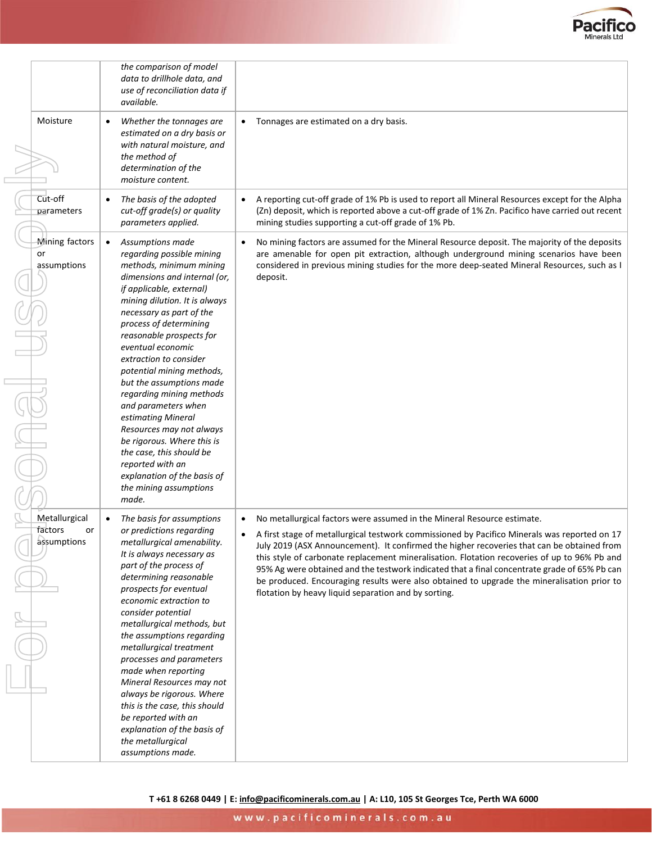

|                                         | the comparison of model<br>data to drillhole data, and<br>use of reconciliation data if<br>available.                                                                                                                                                                                                                                                                                                                                                                                                                                                                                                                |                                                                                                                                                                                                                                                                                                                                                                                                                                                                                                                                                                                                                                          |
|-----------------------------------------|----------------------------------------------------------------------------------------------------------------------------------------------------------------------------------------------------------------------------------------------------------------------------------------------------------------------------------------------------------------------------------------------------------------------------------------------------------------------------------------------------------------------------------------------------------------------------------------------------------------------|------------------------------------------------------------------------------------------------------------------------------------------------------------------------------------------------------------------------------------------------------------------------------------------------------------------------------------------------------------------------------------------------------------------------------------------------------------------------------------------------------------------------------------------------------------------------------------------------------------------------------------------|
| Moisture                                | Whether the tonnages are<br>estimated on a dry basis or<br>with natural moisture, and<br>the method of<br>determination of the<br>moisture content.                                                                                                                                                                                                                                                                                                                                                                                                                                                                  | Tonnages are estimated on a dry basis.<br>$\bullet$                                                                                                                                                                                                                                                                                                                                                                                                                                                                                                                                                                                      |
| Cut-off<br>parameters                   | The basis of the adopted<br>cut-off grade(s) or quality<br>parameters applied.                                                                                                                                                                                                                                                                                                                                                                                                                                                                                                                                       | A reporting cut-off grade of 1% Pb is used to report all Mineral Resources except for the Alpha<br>$\bullet$<br>(Zn) deposit, which is reported above a cut-off grade of 1% Zn. Pacifico have carried out recent<br>mining studies supporting a cut-off grade of 1% Pb.                                                                                                                                                                                                                                                                                                                                                                  |
| Mining factors<br>or<br>assumptions     | Assumptions made<br>regarding possible mining<br>methods, minimum mining<br>dimensions and internal (or,<br>if applicable, external)<br>mining dilution. It is always<br>necessary as part of the<br>process of determining<br>reasonable prospects for<br>eventual economic<br>extraction to consider<br>potential mining methods,<br>but the assumptions made<br>regarding mining methods<br>and parameters when<br>estimating Mineral<br>Resources may not always<br>be rigorous. Where this is<br>the case, this should be<br>reported with an<br>explanation of the basis of<br>the mining assumptions<br>made. | No mining factors are assumed for the Mineral Resource deposit. The majority of the deposits<br>$\bullet$<br>are amenable for open pit extraction, although underground mining scenarios have been<br>considered in previous mining studies for the more deep-seated Mineral Resources, such as I<br>deposit.                                                                                                                                                                                                                                                                                                                            |
| Metallurgical<br>factors<br>assumptions | The basis for assumptions<br>or predictions regarding<br>or<br>metallurgical amenability.<br>It is always necessary as<br>part of the process of<br>determining reasonable<br>prospects for eventual<br>economic extraction to<br>consider potential<br>metallurgical methods, but<br>the assumptions regarding<br>metallurgical treatment<br>processes and parameters<br>made when reporting<br>Mineral Resources may not<br>always be rigorous. Where<br>this is the case, this should<br>be reported with an<br>explanation of the basis of<br>the metallurgical<br>assumptions made.                             | No metallurgical factors were assumed in the Mineral Resource estimate.<br>$\bullet$<br>A first stage of metallurgical testwork commissioned by Pacifico Minerals was reported on 17<br>July 2019 (ASX Announcement). It confirmed the higher recoveries that can be obtained from<br>this style of carbonate replacement mineralisation. Flotation recoveries of up to 96% Pb and<br>95% Ag were obtained and the testwork indicated that a final concentrate grade of 65% Pb can<br>be produced. Encouraging results were also obtained to upgrade the mineralisation prior to<br>flotation by heavy liquid separation and by sorting. |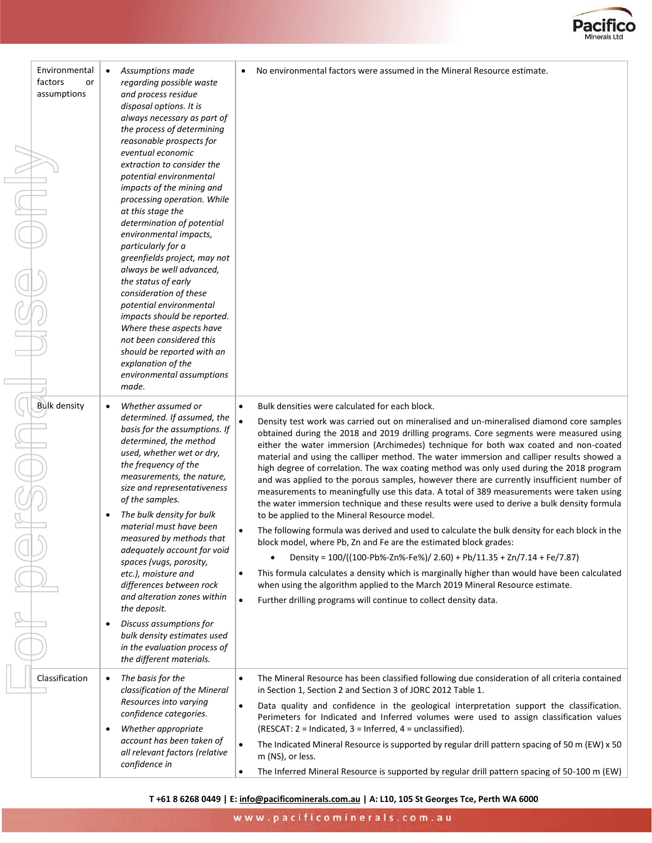

| Environmental<br>factors<br>or<br>assumptions | Assumptions made<br>regarding possible waste<br>and process residue<br>disposal options. It is<br>always necessary as part of<br>the process of determining<br>reasonable prospects for<br>eventual economic<br>extraction to consider the<br>potential environmental<br>impacts of the mining and<br>processing operation. While<br>at this stage the<br>determination of potential<br>environmental impacts,<br>particularly for a<br>greenfields project, may not<br>always be well advanced,<br>the status of early<br>consideration of these<br>potential environmental<br>impacts should be reported.<br>Where these aspects have<br>not been considered this<br>should be reported with an<br>explanation of the<br>environmental assumptions<br>made. | No environmental factors were assumed in the Mineral Resource estimate.<br>$\bullet$                                                                                                                                                                                                                                                                                                                                                                                                                                                                                                                                                                                                                                                                                                                                                                                                                                                                                                                                                                                                                                                                                                                                                                                                                                                                                                                                               |
|-----------------------------------------------|---------------------------------------------------------------------------------------------------------------------------------------------------------------------------------------------------------------------------------------------------------------------------------------------------------------------------------------------------------------------------------------------------------------------------------------------------------------------------------------------------------------------------------------------------------------------------------------------------------------------------------------------------------------------------------------------------------------------------------------------------------------|------------------------------------------------------------------------------------------------------------------------------------------------------------------------------------------------------------------------------------------------------------------------------------------------------------------------------------------------------------------------------------------------------------------------------------------------------------------------------------------------------------------------------------------------------------------------------------------------------------------------------------------------------------------------------------------------------------------------------------------------------------------------------------------------------------------------------------------------------------------------------------------------------------------------------------------------------------------------------------------------------------------------------------------------------------------------------------------------------------------------------------------------------------------------------------------------------------------------------------------------------------------------------------------------------------------------------------------------------------------------------------------------------------------------------------|
| <b>Bulk density</b>                           | Whether assumed or<br>determined. If assumed, the<br>basis for the assumptions. If<br>determined, the method<br>used, whether wet or dry,<br>the frequency of the<br>measurements, the nature,<br>size and representativeness<br>of the samples.<br>The bulk density for bulk<br>material must have been<br>measured by methods that<br>adequately account for void<br>spaces (vugs, porosity,<br>etc.), moisture and<br>differences between rock<br>and alteration zones within<br>the deposit.<br>Discuss assumptions for<br>$\bullet$<br>bulk density estimates used<br>in the evaluation process of<br>the different materials.                                                                                                                           | Bulk densities were calculated for each block.<br>$\bullet$<br>$\bullet$<br>Density test work was carried out on mineralised and un-mineralised diamond core samples<br>obtained during the 2018 and 2019 drilling programs. Core segments were measured using<br>either the water immersion (Archimedes) technique for both wax coated and non-coated<br>material and using the calliper method. The water immersion and calliper results showed a<br>high degree of correlation. The wax coating method was only used during the 2018 program<br>and was applied to the porous samples, however there are currently insufficient number of<br>measurements to meaningfully use this data. A total of 389 measurements were taken using<br>the water immersion technique and these results were used to derive a bulk density formula<br>to be applied to the Mineral Resource model.<br>The following formula was derived and used to calculate the bulk density for each block in the<br>block model, where Pb, Zn and Fe are the estimated block grades:<br>Density = $100/((100 - Pb\% - Zn\% - Fe\%) / 2.60) + Pb/11.35 + Zn/7.14 + Fe/7.87)$<br>This formula calculates a density which is marginally higher than would have been calculated<br>$\bullet$<br>when using the algorithm applied to the March 2019 Mineral Resource estimate.<br>$\bullet$<br>Further drilling programs will continue to collect density data. |
| Classification                                | The basis for the<br>$\bullet$<br>classification of the Mineral<br>Resources into varying<br>confidence categories.<br>Whether appropriate<br>$\bullet$<br>account has been taken of<br>all relevant factors (relative<br>confidence in                                                                                                                                                                                                                                                                                                                                                                                                                                                                                                                       | The Mineral Resource has been classified following due consideration of all criteria contained<br>$\bullet$<br>in Section 1, Section 2 and Section 3 of JORC 2012 Table 1.<br>Data quality and confidence in the geological interpretation support the classification.<br>$\bullet$<br>Perimeters for Indicated and Inferred volumes were used to assign classification values<br>(RESCAT: $2 = Indicated$ , $3 = Inferred$ , $4 = unclassified$ ).<br>The Indicated Mineral Resource is supported by regular drill pattern spacing of 50 m (EW) x 50<br>$\bullet$<br>m (NS), or less.<br>The Inferred Mineral Resource is supported by regular drill pattern spacing of 50-100 m (EW)<br>$\bullet$                                                                                                                                                                                                                                                                                                                                                                                                                                                                                                                                                                                                                                                                                                                                |